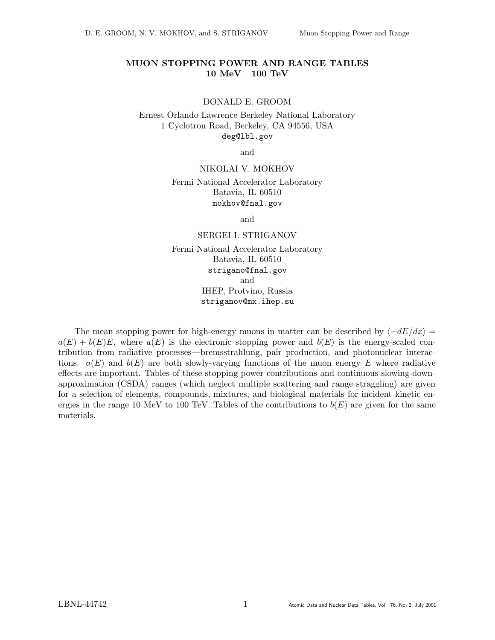# MUON STOPPING POWER AND RANGE TABLES 10 MeV—100 TeV

## DONALD E. GROOM

Ernest Orlando Lawrence Berkeley National Laboratory 1 Cyclotron Road, Berkeley, CA 94556, USA deg@lbl.gov

and

## NIKOLAI V. MOKHOV

Fermi National Accelerator Laboratory Batavia, IL 60510 mokhov@fnal.gov

and

## SERGEI I. STRIGANOV

Fermi National Accelerator Laboratory Batavia, IL 60510 strigano@fnal.gov and IHEP, Protvino, Russia striganov@mx.ihep.su

The mean stopping power for high-energy muons in matter can be described by  $\langle -dE/dx \rangle =$  $a(E) + b(E)E$ , where  $a(E)$  is the electronic stopping power and  $b(E)$  is the energy-scaled contribution from radiative processes—bremsstrahlung, pair production, and photonuclear interactions.  $a(E)$  and  $b(E)$  are both slowly-varying functions of the muon energy E where radiative effects are important. Tables of these stopping power contributions and continuous-slowing-downapproximation (CSDA) ranges (which neglect multiple scattering and range straggling) are given for a selection of elements, compounds, mixtures, and biological materials for incident kinetic energies in the range 10 MeV to 100 TeV. Tables of the contributions to  $b(E)$  are given for the same materials.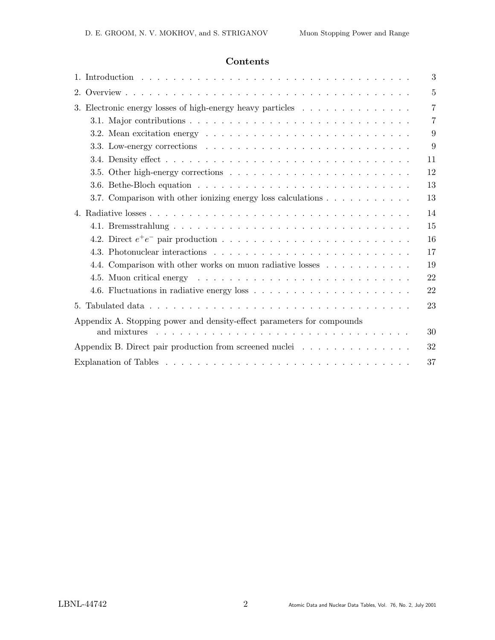# Contents

|                                                                                                                                                                                                                                | 3  |  |  |  |  |  |  |  |  |  |  |  |  |
|--------------------------------------------------------------------------------------------------------------------------------------------------------------------------------------------------------------------------------|----|--|--|--|--|--|--|--|--|--|--|--|--|
| $2_{-}$                                                                                                                                                                                                                        | 5  |  |  |  |  |  |  |  |  |  |  |  |  |
| 3. Electronic energy losses of high-energy heavy particles                                                                                                                                                                     |    |  |  |  |  |  |  |  |  |  |  |  |  |
|                                                                                                                                                                                                                                | 7  |  |  |  |  |  |  |  |  |  |  |  |  |
|                                                                                                                                                                                                                                | 9  |  |  |  |  |  |  |  |  |  |  |  |  |
|                                                                                                                                                                                                                                | 9  |  |  |  |  |  |  |  |  |  |  |  |  |
|                                                                                                                                                                                                                                | 11 |  |  |  |  |  |  |  |  |  |  |  |  |
|                                                                                                                                                                                                                                | 12 |  |  |  |  |  |  |  |  |  |  |  |  |
|                                                                                                                                                                                                                                | 13 |  |  |  |  |  |  |  |  |  |  |  |  |
|                                                                                                                                                                                                                                | 13 |  |  |  |  |  |  |  |  |  |  |  |  |
|                                                                                                                                                                                                                                | 14 |  |  |  |  |  |  |  |  |  |  |  |  |
|                                                                                                                                                                                                                                | 15 |  |  |  |  |  |  |  |  |  |  |  |  |
|                                                                                                                                                                                                                                | 16 |  |  |  |  |  |  |  |  |  |  |  |  |
|                                                                                                                                                                                                                                | 17 |  |  |  |  |  |  |  |  |  |  |  |  |
| 4.4. Comparison with other works on muon radiative losses                                                                                                                                                                      | 19 |  |  |  |  |  |  |  |  |  |  |  |  |
| 4.5. Muon critical energy example is a series of the series of the series of the series of the series of the series of the series of the series of the series of the series of the series of the series of the series of the s | 22 |  |  |  |  |  |  |  |  |  |  |  |  |
|                                                                                                                                                                                                                                | 22 |  |  |  |  |  |  |  |  |  |  |  |  |
|                                                                                                                                                                                                                                | 23 |  |  |  |  |  |  |  |  |  |  |  |  |
| Appendix A. Stopping power and density-effect parameters for compounds                                                                                                                                                         |    |  |  |  |  |  |  |  |  |  |  |  |  |
| and mixtures                                                                                                                                                                                                                   | 30 |  |  |  |  |  |  |  |  |  |  |  |  |
| Appendix B. Direct pair production from screened nuclei                                                                                                                                                                        | 32 |  |  |  |  |  |  |  |  |  |  |  |  |
|                                                                                                                                                                                                                                | 37 |  |  |  |  |  |  |  |  |  |  |  |  |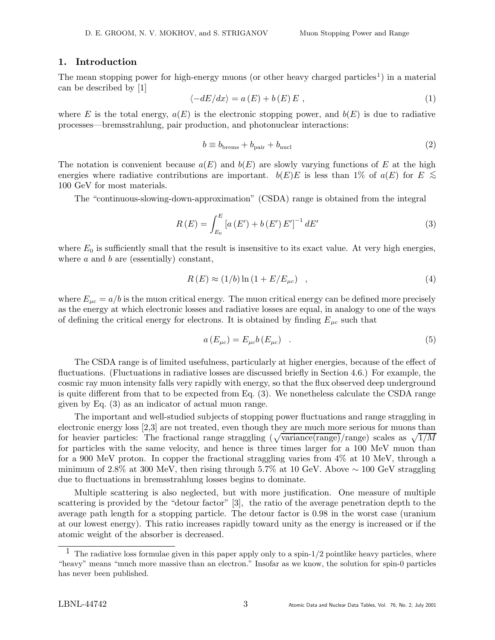## 1. Introduction

The mean stopping power for high-energy muons (or other heavy charged particles<sup>1</sup>) in a material can be described by [1]

$$
\langle -dE/dx \rangle = a(E) + b(E)E , \qquad (1)
$$

where E is the total energy,  $a(E)$  is the electronic stopping power, and  $b(E)$  is due to radiative processes—bremsstrahlung, pair production, and photonuclear interactions:

$$
b \equiv b_{\text{brems}} + b_{\text{pair}} + b_{\text{nucl}} \tag{2}
$$

The notation is convenient because  $a(E)$  and  $b(E)$  are slowly varying functions of E at the high energies where radiative contributions are important.  $b(E)E$  is less than 1% of  $a(E)$  for  $E \leq$ 100 GeV for most materials.

The "continuous-slowing-down-approximation" (CSDA) range is obtained from the integral

$$
R(E) = \int_{E_0}^{E} \left[ a\left( E' \right) + b\left( E' \right) E' \right]^{-1} dE' \tag{3}
$$

where  $E_0$  is sufficiently small that the result is insensitive to its exact value. At very high energies, where  $a$  and  $b$  are (essentially) constant,

$$
R(E) \approx (1/b) \ln (1 + E/E_{\mu c}) \quad , \tag{4}
$$

where  $E_{\mu c} = a/b$  is the muon critical energy. The muon critical energy can be defined more precisely as the energy at which electronic losses and radiative losses are equal, in analogy to one of the ways of defining the critical energy for electrons. It is obtained by finding  $E_{\mu c}$  such that

$$
a\left(E_{\mu c}\right) = E_{\mu c}b\left(E_{\mu c}\right) \quad . \tag{5}
$$

The CSDA range is of limited usefulness, particularly at higher energies, because of the effect of fluctuations. (Fluctuations in radiative losses are discussed briefly in Section 4.6.) For example, the cosmic ray muon intensity falls very rapidly with energy, so that the flux observed deep underground is quite different from that to be expected from Eq. (3). We nonetheless calculate the CSDA range given by Eq. (3) as an indicator of actual muon range.

The important and well-studied subjects of stopping power fluctuations and range straggling in electronic energy loss [2,3] are not treated, even though they are much more serious for muons than for heavier particles: The fractional range straggling  $(\sqrt{\text{variance}}(\text{range})/\text{range})$  scales as  $\sqrt{1/M}$ for particles with the same velocity, and hence is three times larger for a 100 MeV muon than for a 900 MeV proton. In copper the fractional straggling varies from 4% at 10 MeV, through a minimum of 2.8% at 300 MeV, then rising through 5.7% at 10 GeV. Above  $\sim$  100 GeV straggling due to fluctuations in bremsstrahlung losses begins to dominate.

Multiple scattering is also neglected, but with more justification. One measure of multiple scattering is provided by the "detour factor" [3], the ratio of the average penetration depth to the average path length for a stopping particle. The detour factor is 0.98 in the worst case (uranium at our lowest energy). This ratio increases rapidly toward unity as the energy is increased or if the atomic weight of the absorber is decreased.

<sup>&</sup>lt;sup>1</sup> The radiative loss formulae given in this paper apply only to a spin- $1/2$  pointlike heavy particles, where "heavy" means "much more massive than an electron." Insofar as we know, the solution for spin-0 particles has never been published.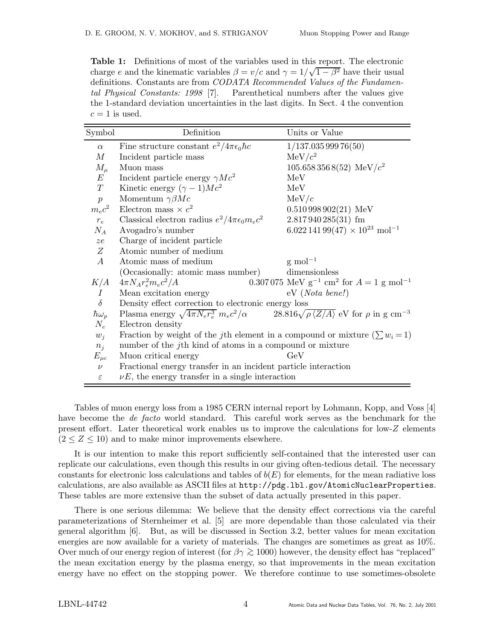Table 1: Definitions of most of the variables used in this report. The electronic charge e and the kinematic variables  $\beta = v/c$  and  $\gamma = 1/\sqrt{1-\beta^2}$  have their usual definitions. Constants are from *CODATA Recommended Values of the Fundamen*tal Physical Constants: 1998 [7]. Parenthetical numbers after the values give the 1-standard deviation uncertainties in the last digits. In Sect. 4 the convention  $c = 1$  is used.

| Symbol           | Definition                                                                                                                        | Units or Value                                                                 |
|------------------|-----------------------------------------------------------------------------------------------------------------------------------|--------------------------------------------------------------------------------|
| $\alpha$         | Fine structure constant $e^2/4\pi\epsilon_0\hbar c$                                                                               | 1/137.03599976(50)                                                             |
| M                | Incident particle mass                                                                                                            | $MeV/c^2$                                                                      |
| $M_{\mu}$        | Muon mass                                                                                                                         | $105.6583568(52)$ MeV/ $c^2$                                                   |
| E                | Incident particle energy $\gamma Mc^2$                                                                                            | MeV                                                                            |
| T                | Kinetic energy $(\gamma - 1)Mc^2$                                                                                                 | MeV                                                                            |
| $\boldsymbol{p}$ | Momentum $\gamma \beta M c$                                                                                                       | MeV/c                                                                          |
| $m_ec^2$         | Electron mass $\times c^2$                                                                                                        | $0.510\,998\,902(21)$ MeV                                                      |
| $r_e$            | Classical electron radius $e^2/4\pi\epsilon_0 m_e c^2$                                                                            | $2.817940285(31)$ fm                                                           |
| $N_A$            | Avogadro's number                                                                                                                 | $6.02214199(47) \times 10^{23} \text{ mol}^{-1}$                               |
| ze               | Charge of incident particle                                                                                                       |                                                                                |
| Ζ                | Atomic number of medium                                                                                                           |                                                                                |
| $\overline{A}$   | Atomic mass of medium                                                                                                             | $\rm g \ mol^{-1}$                                                             |
|                  | (Occasionally: atomic mass number)                                                                                                | dimensionless                                                                  |
| K/A              | $4\pi N_A r_e^2 m_e c^2 /A$                                                                                                       | $0.307075$ MeV g <sup>-1</sup> cm <sup>2</sup> for $A = 1$ g mol <sup>-1</sup> |
| $\overline{I}$   | Mean excitation energy                                                                                                            | $eV$ ( <i>Nota bene!</i> )                                                     |
| $\delta$         | Density effect correction to electronic energy loss                                                                               |                                                                                |
| $\hbar\omega_p$  | Plasma energy $\sqrt{4\pi N_e r_e^3} m_e c^2/\alpha$ 28.816 $\sqrt{\rho \langle Z/A \rangle}$ eV for $\rho$ in g cm <sup>-3</sup> |                                                                                |
| $N_e$            | Electron density                                                                                                                  |                                                                                |
| $w_i$            | Fraction by weight of the j <sup>th</sup> element in a compound or mixture $(\sum w_i = 1)$                                       |                                                                                |
| $n_i$            | number of the $j$ th kind of atoms in a compound or mixture                                                                       |                                                                                |
| $E_{\mu c}$      | Muon critical energy                                                                                                              | GeV                                                                            |
| $\nu$            | Fractional energy transfer in an incident particle interaction                                                                    |                                                                                |
| $\varepsilon$    | $\nu E$ , the energy transfer in a single interaction                                                                             |                                                                                |

Tables of muon energy loss from a 1985 CERN internal report by Lohmann, Kopp, and Voss [4] have become the *de facto* world standard. This careful work serves as the benchmark for the present effort. Later theoretical work enables us to improve the calculations for low-Z elements  $(2 \leq Z \leq 10)$  and to make minor improvements elsewhere.

It is our intention to make this report sufficiently self-contained that the interested user can replicate our calculations, even though this results in our giving often-tedious detail. The necessary constants for electronic loss calculations and tables of  $b(E)$  for elements, for the mean radiative loss calculations, are also available as ASCII files at http://pdg.lbl.gov/AtomicNuclearProperties. These tables are more extensive than the subset of data actually presented in this paper.

There is one serious dilemma: We believe that the density effect corrections via the careful parameterizations of Sternheimer et al. [5] are more dependable than those calculated via their general algorithm [6]. But, as will be discussed in Section 3.2, better values for mean excitation energies are now available for a variety of materials. The changes are sometimes as great as 10%. Over much of our energy region of interest (for  $\beta \gamma \gtrsim 1000$ ) however, the density effect has "replaced" the mean excitation energy by the plasma energy, so that improvements in the mean excitation energy have no effect on the stopping power. We therefore continue to use sometimes-obsolete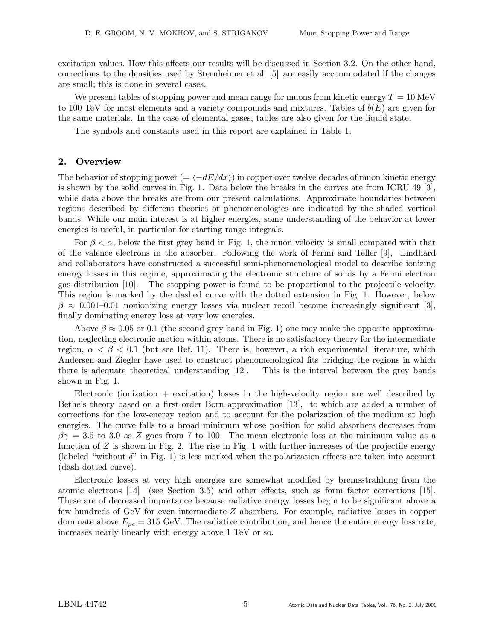excitation values. How this affects our results will be discussed in Section 3.2. On the other hand, corrections to the densities used by Sternheimer et al. [5] are easily accommodated if the changes are small; this is done in several cases.

We present tables of stopping power and mean range for muons from kinetic energy  $T = 10 \text{ MeV}$ to 100 TeV for most elements and a variety compounds and mixtures. Tables of  $b(E)$  are given for the same materials. In the case of elemental gases, tables are also given for the liquid state.

The symbols and constants used in this report are explained in Table 1.

## 2. Overview

The behavior of stopping power (=  $\langle -dE/dx \rangle$ ) in copper over twelve decades of muon kinetic energy is shown by the solid curves in Fig. 1. Data below the breaks in the curves are from ICRU 49 [3], while data above the breaks are from our present calculations. Approximate boundaries between regions described by different theories or phenomenologies are indicated by the shaded vertical bands. While our main interest is at higher energies, some understanding of the behavior at lower energies is useful, in particular for starting range integrals.

For  $\beta < \alpha$ , below the first grey band in Fig. 1, the muon velocity is small compared with that of the valence electrons in the absorber. Following the work of Fermi and Teller [9], Lindhard and collaborators have constructed a successful semi-phenomenological model to describe ionizing energy losses in this regime, approximating the electronic structure of solids by a Fermi electron gas distribution [10]. The stopping power is found to be proportional to the projectile velocity. This region is marked by the dashed curve with the dotted extension in Fig. 1. However, below  $\beta \approx 0.001$ –0.01 nonionizing energy losses via nuclear recoil become increasingly significant [3], finally dominating energy loss at very low energies.

Above  $\beta \approx 0.05$  or 0.1 (the second grey band in Fig. 1) one may make the opposite approximation, neglecting electronic motion within atoms. There is no satisfactory theory for the intermediate region,  $\alpha < \beta < 0.1$  (but see Ref. 11). There is, however, a rich experimental literature, which Andersen and Ziegler have used to construct phenomenological fits bridging the regions in which there is adequate theoretical understanding [12]. This is the interval between the grey bands shown in Fig. 1.

Electronic (ionization  $+$  excitation) losses in the high-velocity region are well described by Bethe's theory based on a first-order Born approximation [13], to which are added a number of corrections for the low-energy region and to account for the polarization of the medium at high energies. The curve falls to a broad minimum whose position for solid absorbers decreases from  $\beta\gamma = 3.5$  to 3.0 as Z goes from 7 to 100. The mean electronic loss at the minimum value as a function of  $Z$  is shown in Fig. 2. The rise in Fig. 1 with further increases of the projectile energy (labeled "without  $\delta$ " in Fig. 1) is less marked when the polarization effects are taken into account (dash-dotted curve).

Electronic losses at very high energies are somewhat modified by bremsstrahlung from the atomic electrons [14] (see Section 3.5) and other effects, such as form factor corrections [15]. These are of decreased importance because radiative energy losses begin to be significant above a few hundreds of GeV for even intermediate-Z absorbers. For example, radiative losses in copper dominate above  $E_{\mu c} = 315$  GeV. The radiative contribution, and hence the entire energy loss rate, increases nearly linearly with energy above 1 TeV or so.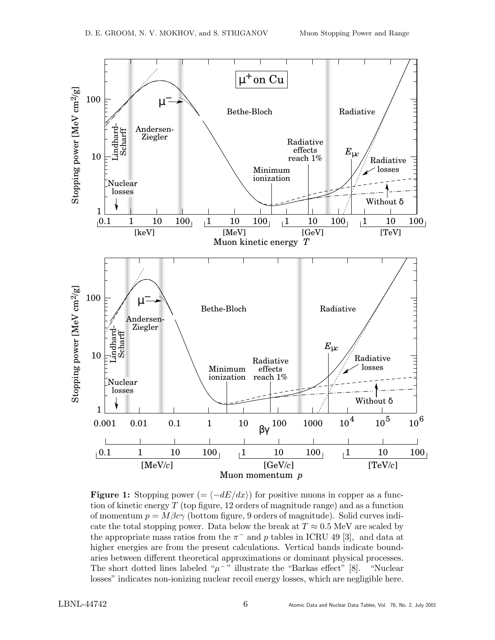

**Figure 1:** Stopping power (=  $\langle -dE/dx \rangle$ ) for positive muons in copper as a function of kinetic energy  $T$  (top figure, 12 orders of magnitude range) and as a function of momentum  $p = M\beta c\gamma$  (bottom figure, 9 orders of magnitude). Solid curves indicate the total stopping power. Data below the break at  $T \approx 0.5$  MeV are scaled by the appropriate mass ratios from the  $\pi^-$  and p tables in ICRU 49 [3], and data at higher energies are from the present calculations. Vertical bands indicate boundaries between different theoretical approximations or dominant physical processes. The short dotted lines labeled " $\mu$ <sup>-</sup>" illustrate the "Barkas effect" [8]. "Nuclear losses" indicates non-ionizing nuclear recoil energy losses, which are negligible here.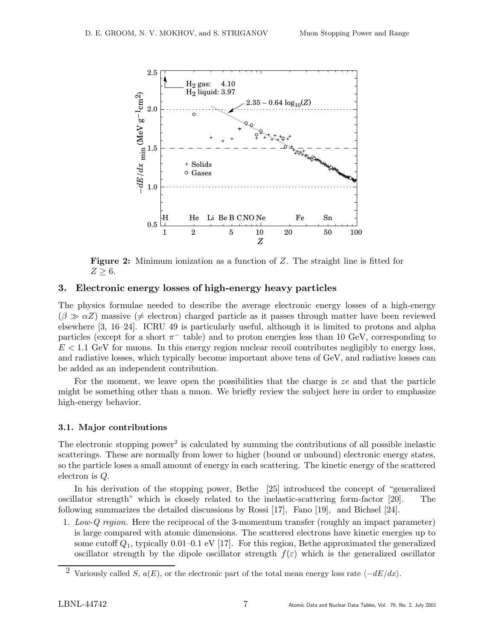

**Figure 2:** Minimum ionization as a function of Z. The straight line is fitted for  $Z \geq 6$ .

## 3. Electronic energy losses of high-energy heavy particles

The physics formulae needed to describe the average electronic energy losses of a high-energy  $(\beta \gg \alpha Z)$  massive ( $\neq$  electron) charged particle as it passes through matter have been reviewed elsewhere [3, 16–24]. ICRU 49 is particularly useful, although it is limited to protons and alpha particles (except for a short  $\pi^-$  table) and to proton energies less than 10 GeV, corresponding to  $E < 1.1$  GeV for muons. In this energy region nuclear recoil contributes negligibly to energy loss, and radiative losses, which typically become important above tens of GeV, and radiative losses can be added as an independent contribution.

For the moment, we leave open the possibilities that the charge is ze and that the particle might be something other than a muon. We briefly review the subject here in order to emphasize high-energy behavior.

### 3.1. Major contributions

The electronic stopping power<sup>2</sup> is calculated by summing the contributions of all possible inelastic scatterings. These are normally from lower to higher (bound or unbound) electronic energy states, so the particle loses a small amount of energy in each scattering. The kinetic energy of the scattered electron is Q.

In his derivation of the stopping power, Bethe [25] introduced the concept of "generalized oscillator strength" which is closely related to the inelastic-scattering form-factor [20]. The following summarizes the detailed discussions by Rossi [17], Fano [19], and Bichsel [24].

1. Low-Q region. Here the reciprocal of the 3-momentum transfer (roughly an impact parameter) is large compared with atomic dimensions. The scattered electrons have kinetic energies up to some cutoff  $Q_1$ , typically 0.01–0.1 eV [17]. For this region, Bethe approximated the generalized oscillator strength by the dipole oscillator strength  $f(\varepsilon)$  which is the generalized oscillator

<sup>&</sup>lt;sup>2</sup> Variously called S,  $a(E)$ , or the electronic part of the total mean energy loss rate  $\langle -dE/dx \rangle$ .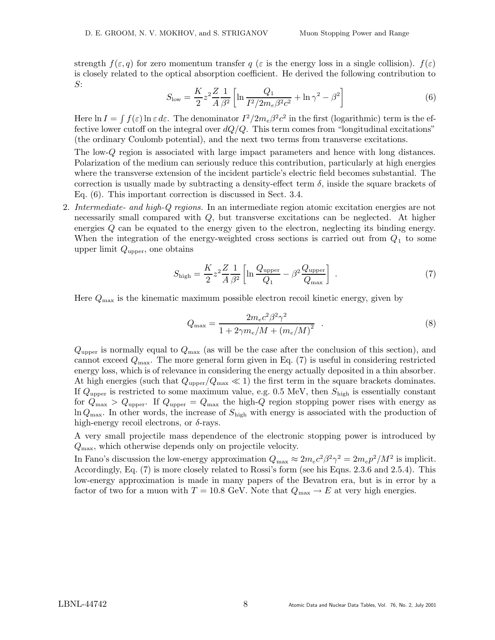strength  $f(\varepsilon, q)$  for zero momentum transfer  $q(\varepsilon)$  is the energy loss in a single collision).  $f(\varepsilon)$ is closely related to the optical absorption coefficient. He derived the following contribution to S:

$$
S_{\text{low}} = \frac{K}{2} z^2 \frac{Z}{A} \frac{1}{\beta^2} \left[ \ln \frac{Q_1}{I^2 / 2m_e \beta^2 c^2} + \ln \gamma^2 - \beta^2 \right]
$$
(6)

Here  $\ln I = \int f(\varepsilon) \ln \varepsilon d\varepsilon$ . The denominator  $I^2/2m_e\beta^2c^2$  in the first (logarithmic) term is the effective lower cutoff on the integral over  $dQ/Q$ . This term comes from "longitudinal excitations" (the ordinary Coulomb potential), and the next two terms from transverse excitations.

The low-Q region is associated with large impact parameters and hence with long distances. Polarization of the medium can seriously reduce this contribution, particularly at high energies where the transverse extension of the incident particle's electric field becomes substantial. The correction is usually made by subtracting a density-effect term  $\delta$ , inside the square brackets of Eq. (6). This important correction is discussed in Sect. 3.4.

2. Intermediate- and high-Q regions. In an intermediate region atomic excitation energies are not necessarily small compared with  $Q$ , but transverse excitations can be neglected. At higher energies Q can be equated to the energy given to the electron, neglecting its binding energy. When the integration of the energy-weighted cross sections is carried out from  $Q_1$  to some upper limit  $Q_{\text{upper}}$ , one obtains

$$
S_{\text{high}} = \frac{K}{2} z^2 \frac{Z}{A} \frac{1}{\beta^2} \left[ \ln \frac{Q_{\text{upper}}}{Q_1} - \beta^2 \frac{Q_{\text{upper}}}{Q_{\text{max}}} \right] \tag{7}
$$

Here  $Q_{\text{max}}$  is the kinematic maximum possible electron recoil kinetic energy, given by

$$
Q_{\text{max}} = \frac{2m_e c^2 \beta^2 \gamma^2}{1 + 2\gamma m_e / M + (m_e / M)^2} \quad . \tag{8}
$$

 $Q_{\text{upper}}$  is normally equal to  $Q_{\text{max}}$  (as will be the case after the conclusion of this section), and cannot exceed  $Q_{\text{max}}$ . The more general form given in Eq. (7) is useful in considering restricted energy loss, which is of relevance in considering the energy actually deposited in a thin absorber. At high energies (such that  $Q_{\text{upper}}/Q_{\text{max}} \ll 1$ ) the first term in the square brackets dominates. If  $Q_{\text{upper}}$  is restricted to some maximum value, e.g. 0.5 MeV, then  $S_{\text{high}}$  is essentially constant for  $Q_{\text{max}} > Q_{\text{upper}}$ . If  $Q_{\text{upper}} = Q_{\text{max}}$  the high-Q region stopping power rises with energy as  $\ln Q_{\text{max}}$ . In other words, the increase of  $S_{\text{high}}$  with energy is associated with the production of high-energy recoil electrons, or  $\delta$ -rays.

A very small projectile mass dependence of the electronic stopping power is introduced by  $Q_{\text{max}}$ , which otherwise depends only on projectile velocity.

In Fano's discussion the low-energy approximation  $Q_{\text{max}} \approx 2m_e c^2 \beta^2 \gamma^2 = 2m_e p^2 / M^2$  is implicit. Accordingly, Eq. (7) is more closely related to Rossi's form (see his Eqns. 2.3.6 and 2.5.4). This low-energy approximation is made in many papers of the Bevatron era, but is in error by a factor of two for a muon with  $T = 10.8$  GeV. Note that  $Q_{\text{max}} \to E$  at very high energies.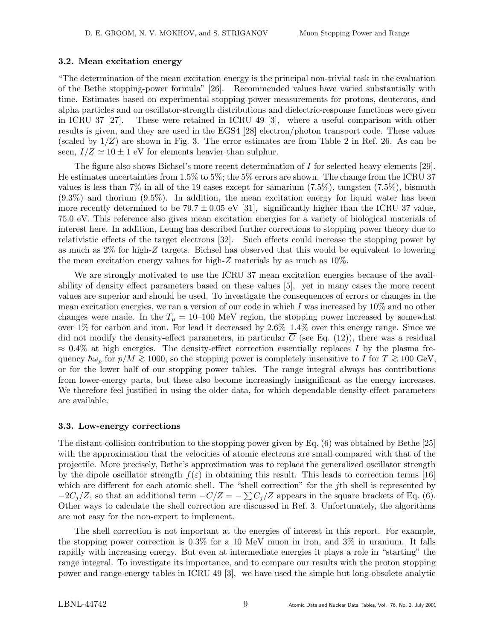## 3.2. Mean excitation energy

"The determination of the mean excitation energy is the principal non-trivial task in the evaluation of the Bethe stopping-power formula" [26]. Recommended values have varied substantially with time. Estimates based on experimental stopping-power measurements for protons, deuterons, and alpha particles and on oscillator-strength distributions and dielectric-response functions were given in ICRU 37 [27]. These were retained in ICRU 49 [3], where a useful comparison with other results is given, and they are used in the EGS4 [28] electron/photon transport code. These values (scaled by  $1/Z$ ) are shown in Fig. 3. The error estimates are from Table 2 in Ref. 26. As can be seen,  $I/Z \simeq 10 \pm 1$  eV for elements heavier than sulphur.

The figure also shows Bichsel's more recent determination of I for selected heavy elements [29]. He estimates uncertainties from 1.5% to 5%; the 5% errors are shown. The change from the ICRU 37 values is less than  $7\%$  in all of the 19 cases except for samarium  $(7.5\%)$ , tungsten  $(7.5\%)$ , bismuth  $(9.3\%)$  and thorium  $(9.5\%)$ . In addition, the mean excitation energy for liquid water has been more recently determined to be 79.7  $\pm$  0.05 eV [31], significantly higher than the ICRU 37 value, 75.0 eV. This reference also gives mean excitation energies for a variety of biological materials of interest here. In addition, Leung has described further corrections to stopping power theory due to relativistic effects of the target electrons [32]. Such effects could increase the stopping power by as much as 2% for high-Z targets. Bichsel has observed that this would be equivalent to lowering the mean excitation energy values for high-Z materials by as much as 10%.

We are strongly motivated to use the ICRU 37 mean excitation energies because of the availability of density effect parameters based on these values [5], yet in many cases the more recent values are superior and should be used. To investigate the consequences of errors or changes in the mean excitation energies, we ran a version of our code in which I was increased by 10% and no other changes were made. In the  $T_{\mu} = 10$ –100 MeV region, the stopping power increased by somewhat over 1% for carbon and iron. For lead it decreased by 2.6%–1.4% over this energy range. Since we did not modify the density-effect parameters, in particular  $\overline{C}$  (see Eq. (12)), there was a residual  $\approx 0.4\%$  at high energies. The density-effect correction essentially replaces I by the plasma frequency  $\hbar\omega_p$  for  $p/M \gtrsim 1000$ , so the stopping power is completely insensitive to I for  $T \gtrsim 100$  GeV, or for the lower half of our stopping power tables. The range integral always has contributions from lower-energy parts, but these also become increasingly insignificant as the energy increases. We therefore feel justified in using the older data, for which dependable density-effect parameters are available.

### 3.3. Low-energy corrections

The distant-collision contribution to the stopping power given by Eq. (6) was obtained by Bethe [25] with the approximation that the velocities of atomic electrons are small compared with that of the projectile. More precisely, Bethe's approximation was to replace the generalized oscillator strength by the dipole oscillator strength  $f(\varepsilon)$  in obtaining this result. This leads to correction terms [16] which are different for each atomic shell. The "shell correction" for the  $j$ th shell is represented by  $-C_j/Z$ , so that an additional term  $-C/Z = -\sum C_j/Z$  appears in the square brackets of Eq. (6). Other ways to calculate the shell correction are discussed in Ref. 3. Unfortunately, the algorithms are not easy for the non-expert to implement.

The shell correction is not important at the energies of interest in this report. For example, the stopping power correction is 0.3% for a 10 MeV muon in iron, and 3% in uranium. It falls rapidly with increasing energy. But even at intermediate energies it plays a role in "starting" the range integral. To investigate its importance, and to compare our results with the proton stopping power and range-energy tables in ICRU 49 [3], we have used the simple but long-obsolete analytic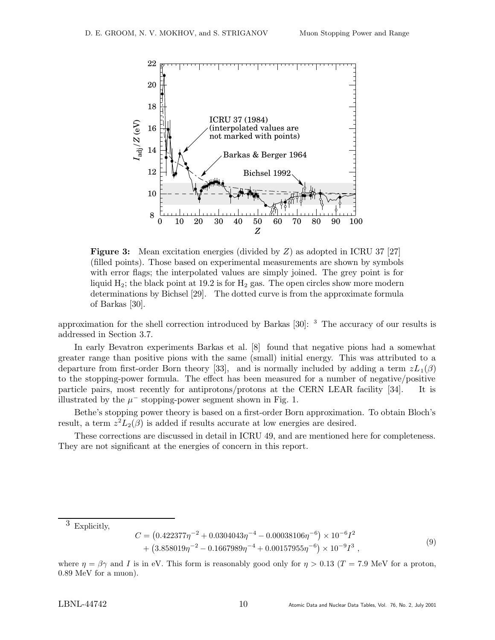

**Figure 3:** Mean excitation energies (divided by  $Z$ ) as adopted in ICRU 37 [27] (filled points). Those based on experimental measurements are shown by symbols with error flags; the interpolated values are simply joined. The grey point is for liquid  $H_2$ ; the black point at 19.2 is for  $H_2$  gas. The open circles show more modern determinations by Bichsel [29]. The dotted curve is from the approximate formula of Barkas [30].

approximation for the shell correction introduced by Barkas [30]: <sup>3</sup> The accuracy of our results is addressed in Section 3.7.

In early Bevatron experiments Barkas et al. [8] found that negative pions had a somewhat greater range than positive pions with the same (small) initial energy. This was attributed to a departure from first-order Born theory [33], and is normally included by adding a term  $zL_1(\beta)$ to the stopping-power formula. The effect has been measured for a number of negative/positive particle pairs, most recently for antiprotons/protons at the CERN LEAR facility [34]. It is illustrated by the  $\mu^-$  stopping-power segment shown in Fig. 1.

Bethe's stopping power theory is based on a first-order Born approximation. To obtain Bloch's result, a term  $z^2L_2(\beta)$  is added if results accurate at low energies are desired.

These corrections are discussed in detail in ICRU 49, and are mentioned here for completeness. They are not significant at the energies of concern in this report.

 $3$  Explicitly,

$$
C = (0.422377\eta^{-2} + 0.0304043\eta^{-4} - 0.00038106\eta^{-6}) \times 10^{-6}I^2 + (3.858019\eta^{-2} - 0.1667989\eta^{-4} + 0.00157955\eta^{-6}) \times 10^{-9}I^3 ,
$$
\n(9)

where  $\eta = \beta \gamma$  and I is in eV. This form is reasonably good only for  $\eta > 0.13$  (T = 7.9 MeV for a proton, 0.89 MeV for a muon).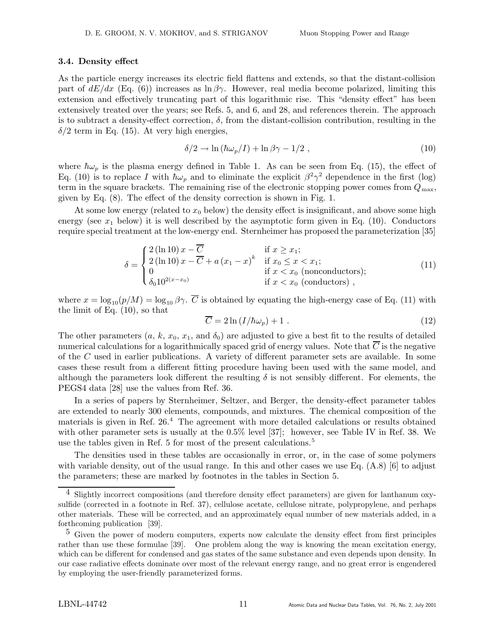### 3.4. Density effect

As the particle energy increases its electric field flattens and extends, so that the distant-collision part of  $dE/dx$  (Eq. (6)) increases as  $\ln \beta \gamma$ . However, real media become polarized, limiting this extension and effectively truncating part of this logarithmic rise. This "density effect" has been extensively treated over the years; see Refs. 5, and 6, and 28, and references therein. The approach is to subtract a density-effect correction,  $\delta$ , from the distant-collision contribution, resulting in the  $\delta/2$  term in Eq. (15). At very high energies,

$$
\delta/2 \to \ln\left(\hbar\omega_p/I\right) + \ln\beta\gamma - 1/2 \tag{10}
$$

where  $\hbar\omega_p$  is the plasma energy defined in Table 1. As can be seen from Eq. (15), the effect of Eq. (10) is to replace I with  $\hbar\omega_p$  and to eliminate the explicit  $\beta^2\gamma^2$  dependence in the first (log) term in the square brackets. The remaining rise of the electronic stopping power comes from  $Q_{\text{max}}$ , given by Eq. (8). The effect of the density correction is shown in Fig. 1.

At some low energy (related to  $x_0$  below) the density effect is insignificant, and above some high energy (see  $x_1$  below) it is well described by the asymptotic form given in Eq. (10). Conductors require special treatment at the low-energy end. Sternheimer has proposed the parameterization [35]

$$
\delta = \begin{cases}\n2(\ln 10) x - \overline{C} & \text{if } x \ge x_1; \\
2(\ln 10) x - \overline{C} + a (x_1 - x)^k & \text{if } x_0 \le x < x_1; \\
0 & \text{if } x < x_0 \text{ (nonconductors)}; \\
\delta_0 10^{2(x - x_0)} & \text{if } x < x_0 \text{ (conductors) },\n\end{cases}
$$
\n(11)

where  $x = \log_{10}(p/M) = \log_{10} \beta \gamma$ .  $\overline{C}$  is obtained by equating the high-energy case of Eq. (11) with the limit of Eq. (10), so that

$$
\overline{C} = 2\ln\left(I/\hbar\omega_p\right) + 1\tag{12}
$$

The other parameters  $(a, k, x_0, x_1, \text{ and } \delta_0)$  are adjusted to give a best fit to the results of detailed numerical calculations for a logarithmically spaced grid of energy values. Note that  $\overline{C}$  is the negative of the C used in earlier publications. A variety of different parameter sets are available. In some cases these result from a different fitting procedure having been used with the same model, and although the parameters look different the resulting  $\delta$  is not sensibly different. For elements, the PEGS4 data [28] use the values from Ref. 36.

In a series of papers by Sternheimer, Seltzer, and Berger, the density-effect parameter tables are extended to nearly 300 elements, compounds, and mixtures. The chemical composition of the materials is given in Ref. 26.<sup>4</sup> The agreement with more detailed calculations or results obtained with other parameter sets is usually at the 0.5% level [37]; however, see Table IV in Ref. 38. We use the tables given in Ref. 5 for most of the present calculations.<sup>5</sup>

The densities used in these tables are occasionally in error, or, in the case of some polymers with variable density, out of the usual range. In this and other cases we use Eq. (A.8) [6] to adjust the parameters; these are marked by footnotes in the tables in Section 5.

<sup>&</sup>lt;sup>4</sup> Slightly incorrect compositions (and therefore density effect parameters) are given for lanthanum oxysulfide (corrected in a footnote in Ref. 37), cellulose acetate, cellulose nitrate, polypropylene, and perhaps other materials. These will be corrected, and an approximately equal number of new materials added, in a forthcoming publication [39].

<sup>5</sup> Given the power of modern computers, experts now calculate the density effect from first principles rather than use these formulae [39]. One problem along the way is knowing the mean excitation energy, which can be different for condensed and gas states of the same substance and even depends upon density. In our case radiative effects dominate over most of the relevant energy range, and no great error is engendered by employing the user-friendly parameterized forms.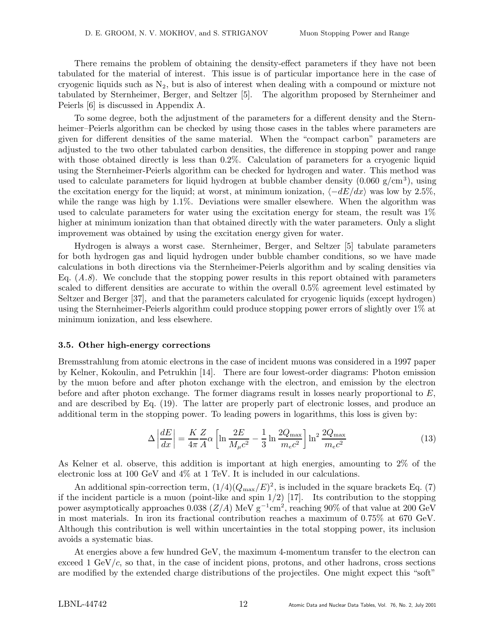There remains the problem of obtaining the density-effect parameters if they have not been tabulated for the material of interest. This issue is of particular importance here in the case of cryogenic liquids such as  $N_2$ , but is also of interest when dealing with a compound or mixture not tabulated by Sternheimer, Berger, and Seltzer [5]. The algorithm proposed by Sternheimer and Peierls [6] is discussed in Appendix A.

To some degree, both the adjustment of the parameters for a different density and the Sternheimer–Peierls algorithm can be checked by using those cases in the tables where parameters are given for different densities of the same material. When the "compact carbon" parameters are adjusted to the two other tabulated carbon densities, the difference in stopping power and range with those obtained directly is less than 0.2%. Calculation of parameters for a cryogenic liquid using the Sternheimer-Peierls algorithm can be checked for hydrogen and water. This method was used to calculate parameters for liquid hydrogen at bubble chamber density  $(0.060 \text{ g/cm}^3)$ , using the excitation energy for the liquid; at worst, at minimum ionization,  $\langle -dE/dx \rangle$  was low by 2.5%, while the range was high by  $1.1\%$ . Deviations were smaller elsewhere. When the algorithm was used to calculate parameters for water using the excitation energy for steam, the result was 1% higher at minimum ionization than that obtained directly with the water parameters. Only a slight improvement was obtained by using the excitation energy given for water.

Hydrogen is always a worst case. Sternheimer, Berger, and Seltzer [5] tabulate parameters for both hydrogen gas and liquid hydrogen under bubble chamber conditions, so we have made calculations in both directions via the Sternheimer-Peierls algorithm and by scaling densities via Eq.  $(A.8)$ . We conclude that the stopping power results in this report obtained with parameters scaled to different densities are accurate to within the overall 0.5% agreement level estimated by Seltzer and Berger [37], and that the parameters calculated for cryogenic liquids (except hydrogen) using the Sternheimer-Peierls algorithm could produce stopping power errors of slightly over 1% at minimum ionization, and less elsewhere.

#### 3.5. Other high-energy corrections

Bremsstrahlung from atomic electrons in the case of incident muons was considered in a 1997 paper by Kelner, Kokoulin, and Petrukhin [14]. There are four lowest-order diagrams: Photon emission by the muon before and after photon exchange with the electron, and emission by the electron before and after photon exchange. The former diagrams result in losses nearly proportional to  $E$ , and are described by Eq. (19). The latter are properly part of electronic losses, and produce an additional term in the stopping power. To leading powers in logarithms, this loss is given by:

$$
\Delta \left| \frac{dE}{dx} \right| = \frac{KZ}{4\pi A} \alpha \left[ \ln \frac{2E}{M_{\mu}c^2} - \frac{1}{3} \ln \frac{2Q_{\text{max}}}{m_e c^2} \right] \ln^2 \frac{2Q_{\text{max}}}{m_e c^2}
$$
(13)

As Kelner et al. observe, this addition is important at high energies, amounting to 2% of the electronic loss at 100 GeV and 4% at 1 TeV. It is included in our calculations.

An additional spin-correction term,  $(1/4)(Q_{\text{max}}/E)^2$ , is included in the square brackets Eq. (7) if the incident particle is a muon (point-like and spin  $1/2$ ) [17]. Its contribution to the stopping power asymptotically approaches  $0.038$  ( $Z/A$ ) MeV  $g^{-1}$ cm<sup>2</sup>, reaching 90% of that value at 200 GeV in most materials. In iron its fractional contribution reaches a maximum of 0.75% at 670 GeV. Although this contribution is well within uncertainties in the total stopping power, its inclusion avoids a systematic bias.

At energies above a few hundred GeV, the maximum 4-momentum transfer to the electron can exceed 1 GeV/c, so that, in the case of incident pions, protons, and other hadrons, cross sections are modified by the extended charge distributions of the projectiles. One might expect this "soft"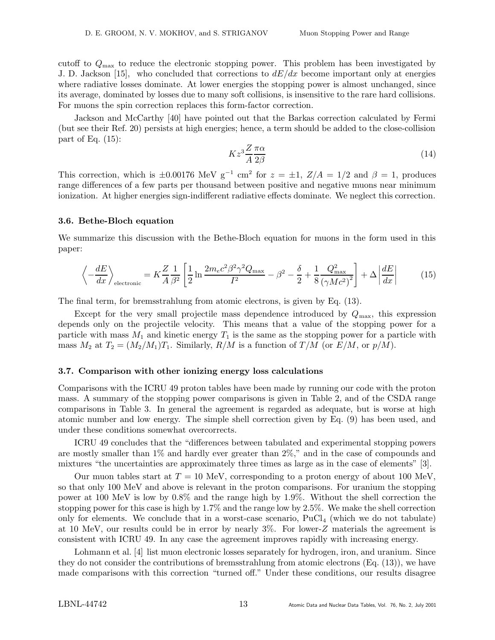cutoff to  $Q_{\text{max}}$  to reduce the electronic stopping power. This problem has been investigated by J. D. Jackson [15], who concluded that corrections to  $dE/dx$  become important only at energies where radiative losses dominate. At lower energies the stopping power is almost unchanged, since its average, dominated by losses due to many soft collisions, is insensitive to the rare hard collisions. For muons the spin correction replaces this form-factor correction.

Jackson and McCarthy [40] have pointed out that the Barkas correction calculated by Fermi (but see their Ref. 20) persists at high energies; hence, a term should be added to the close-collision part of Eq.  $(15)$ :

$$
Kz^3 \frac{Z}{A} \frac{\pi \alpha}{2\beta} \tag{14}
$$

This correction, which is  $\pm 0.00176$  MeV g<sup>-1</sup> cm<sup>2</sup> for  $z = \pm 1$ ,  $Z/A = 1/2$  and  $\beta = 1$ , produces range differences of a few parts per thousand between positive and negative muons near minimum ionization. At higher energies sign-indifferent radiative effects dominate. We neglect this correction.

#### 3.6. Bethe-Bloch equation

We summarize this discussion with the Bethe-Bloch equation for muons in the form used in this paper:

$$
\left\langle -\frac{dE}{dx} \right\rangle_{\text{electronic}} = K \frac{Z}{A} \frac{1}{\beta^2} \left[ \frac{1}{2} \ln \frac{2m_e c^2 \beta^2 \gamma^2 Q_{\text{max}}}{I^2} - \beta^2 - \frac{\delta}{2} + \frac{1}{8} \frac{Q_{\text{max}}^2}{\left(\gamma M c^2\right)^2} \right] + \Delta \left| \frac{dE}{dx} \right| \tag{15}
$$

The final term, for bremsstrahlung from atomic electrons, is given by Eq. (13).

Except for the very small projectile mass dependence introduced by  $Q_{\text{max}}$ , this expression depends only on the projectile velocity. This means that a value of the stopping power for a particle with mass  $M_1$  and kinetic energy  $T_1$  is the same as the stopping power for a particle with mass  $M_2$  at  $T_2 = (M_2/M_1)T_1$ . Similarly,  $R/M$  is a function of  $T/M$  (or  $E/M$ , or  $p/M$ ).

#### 3.7. Comparison with other ionizing energy loss calculations

Comparisons with the ICRU 49 proton tables have been made by running our code with the proton mass. A summary of the stopping power comparisons is given in Table 2, and of the CSDA range comparisons in Table 3. In general the agreement is regarded as adequate, but is worse at high atomic number and low energy. The simple shell correction given by Eq. (9) has been used, and under these conditions somewhat overcorrects.

ICRU 49 concludes that the "differences between tabulated and experimental stopping powers are mostly smaller than 1% and hardly ever greater than 2%," and in the case of compounds and mixtures "the uncertainties are approximately three times as large as in the case of elements" [3].

Our muon tables start at  $T = 10$  MeV, corresponding to a proton energy of about 100 MeV, so that only 100 MeV and above is relevant in the proton comparisons. For uranium the stopping power at 100 MeV is low by 0.8% and the range high by 1.9%. Without the shell correction the stopping power for this case is high by 1.7% and the range low by 2.5%. We make the shell correction only for elements. We conclude that in a worst-case scenario,  $PuCl<sub>4</sub>$  (which we do not tabulate) at 10 MeV, our results could be in error by nearly 3%. For lower-Z materials the agreement is consistent with ICRU 49. In any case the agreement improves rapidly with increasing energy.

Lohmann et al. [4] list muon electronic losses separately for hydrogen, iron, and uranium. Since they do not consider the contributions of bremsstrahlung from atomic electrons (Eq. (13)), we have made comparisons with this correction "turned off." Under these conditions, our results disagree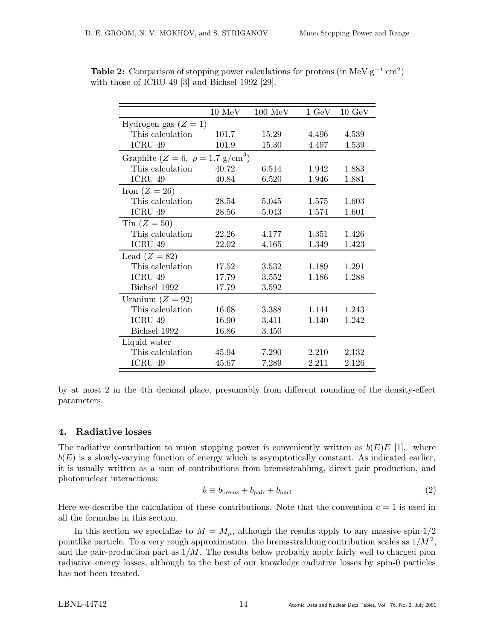|                                                       | $10~\mathrm{MeV}$ | $100 \text{ MeV}$ | $1 \text{ GeV}$ | $10 \text{ GeV}$ |
|-------------------------------------------------------|-------------------|-------------------|-----------------|------------------|
| Hydrogen gas $(Z = 1)$                                |                   |                   |                 |                  |
| This calculation                                      | 101.7             | 15.29             | 4.496           | 4.539            |
| ICRU 49                                               | 101.9             | 15.30             | 4.497           | 4.539            |
| Graphite ( $Z = 6$ , $\rho = 1.7$ g/cm <sup>3</sup> ) |                   |                   |                 |                  |
| This calculation                                      | 40.72             | 6.514             | 1.942           | 1.883            |
| ICRU 49                                               | 40.84             | 6.520             | 1.946           | 1.881            |
| Iron $(Z = 26)$                                       |                   |                   |                 |                  |
| This calculation                                      | 28.54             | 5.045             | 1.575           | 1.603            |
| ICRU 49                                               | 28.56             | 5.043             | 1.574           | 1.601            |
| Tin $(Z=50)$                                          |                   |                   |                 |                  |
| This calculation                                      | 22.26             | 4.177             | 1.351           | 1.426            |
| ICRU 49                                               | 22.02             | 4.165             | 1.349           | 1.423            |
| Lead $(Z = 82)$                                       |                   |                   |                 |                  |
| This calculation                                      | 17.52             | 3.532             | 1.189           | 1.291            |
| ICRU 49                                               | 17.79             | 3.552             | 1.186           | 1.288            |
| Bichsel 1992                                          | 17.79             | 3.592             |                 |                  |
| Uranium $(Z = 92)$                                    |                   |                   |                 |                  |
| This calculation                                      | 16.68             | 3.388             | 1.144           | 1.243            |
| ICRU 49                                               | 16.90             | 3.411             | 1.140           | 1.242            |
| Bichsel 1992                                          | 16.86             | 3.450             |                 |                  |
| Liquid water                                          |                   |                   |                 |                  |
| This calculation                                      | 45.94             | 7.290             | 2.210           | 2.132            |
| ICRU 49                                               | 45.67             | 7.289             | 2.211           | 2.126            |

Table 2: Comparison of stopping power calculations for protons (in MeV  $g^{-1}$  cm<sup>2</sup>) with those of ICRU 49 [3] and Bichsel 1992 [29].

by at most 2 in the 4th decimal place, presumably from different rounding of the density-effect parameters.

# 4. Radiative losses

The radiative contribution to muon stopping power is conveniently written as  $b(E)E[1]$ , where  $b(E)$  is a slowly-varying function of energy which is asymptotically constant. As indicated earlier, it is usually written as a sum of contributions from bremsstrahlung, direct pair production, and photonuclear interactions:

$$
b \equiv b_{\text{brems}} + b_{\text{pair}} + b_{\text{nucl}} \tag{2}
$$

Here we describe the calculation of these contributions. Note that the convention  $c = 1$  is used in all the formulae in this section.

In this section we specialize to  $M = M_{\mu}$ , although the results apply to any massive spin-1/2 pointlike particle. To a very rough approximation, the bremsstrahlung contribution scales as  $1/M^2$ , and the pair-production part as  $1/M$ . The results below probably apply fairly well to charged pion radiative energy losses, although to the best of our knowledge radiative losses by spin-0 particles has not been treated.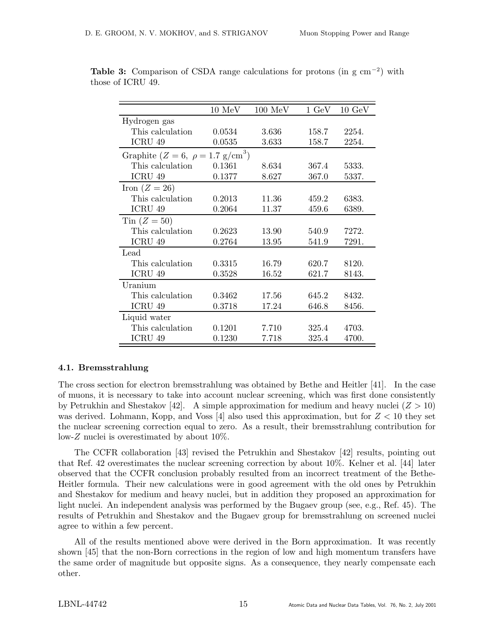|                                                   | $10 \text{ MeV}$ | $100 \text{ MeV}$ | $1 \text{ GeV}$ | $10 \text{ GeV}$ |
|---------------------------------------------------|------------------|-------------------|-----------------|------------------|
| Hydrogen gas                                      |                  |                   |                 |                  |
| This calculation                                  | 0.0534           | 3.636             | 158.7           | 2254.            |
| ICRU 49                                           | 0.0535           | 3.633             | 158.7           | 2254.            |
| Graphite ( $Z = 6, \ \rho = 1.7 \text{ g/cm}^3$ ) |                  |                   |                 |                  |
| This calculation.                                 | 0.1361           | 8.634             | 367.4           | 5333.            |
| ICRU 49                                           | 0.1377           | 8.627             | 367.0           | 5337.            |
| Iron $(Z = 26)$                                   |                  |                   |                 |                  |
| This calculation                                  | 0.2013           | 11.36             | 459.2           | 6383.            |
| ICRU 49                                           | 0.2064           | 11.37             | 459.6           | 6389.            |
| Tin $(Z=50)$                                      |                  |                   |                 |                  |
| This calculation                                  | 0.2623           | 13.90             | 540.9           | 7272.            |
| ICRU 49                                           | 0.2764           | 13.95             | 541.9           | 7291.            |
| Lead                                              |                  |                   |                 |                  |
| This calculation                                  | 0.3315           | 16.79             | 620.7           | 8120.            |
| ICRU 49                                           | 0.3528           | 16.52             | 621.7           | 8143.            |
| Uranium                                           |                  |                   |                 |                  |
| This calculation                                  | 0.3462           | 17.56             | 645.2           | 8432.            |
| ICRU 49                                           | 0.3718           | 17.24             | 646.8           | 8456.            |
| Liquid water                                      |                  |                   |                 |                  |
| This calculation                                  | 0.1201           | 7.710             | 325.4           | 4703.            |
| ICRU 49                                           | 0.1230           | 7.718             | 325.4           | 4700.            |

Table 3: Comparison of CSDA range calculations for protons (in  $g \text{ cm}^{-2}$ ) with those of ICRU 49.

# 4.1. Bremsstrahlung

The cross section for electron bremsstrahlung was obtained by Bethe and Heitler [41]. In the case of muons, it is necessary to take into account nuclear screening, which was first done consistently by Petrukhin and Shestakov [42]. A simple approximation for medium and heavy nuclei ( $Z > 10$ ) was derived. Lohmann, Kopp, and Voss [4] also used this approximation, but for  $Z < 10$  they set the nuclear screening correction equal to zero. As a result, their bremsstrahlung contribution for low-Z nuclei is overestimated by about 10%.

The CCFR collaboration [43] revised the Petrukhin and Shestakov [42] results, pointing out that Ref. 42 overestimates the nuclear screening correction by about 10%. Kelner et al. [44] later observed that the CCFR conclusion probably resulted from an incorrect treatment of the Bethe-Heitler formula. Their new calculations were in good agreement with the old ones by Petrukhin and Shestakov for medium and heavy nuclei, but in addition they proposed an approximation for light nuclei. An independent analysis was performed by the Bugaev group (see, e.g., Ref. 45). The results of Petrukhin and Shestakov and the Bugaev group for bremsstrahlung on screened nuclei agree to within a few percent.

All of the results mentioned above were derived in the Born approximation. It was recently shown [45] that the non-Born corrections in the region of low and high momentum transfers have the same order of magnitude but opposite signs. As a consequence, they nearly compensate each other.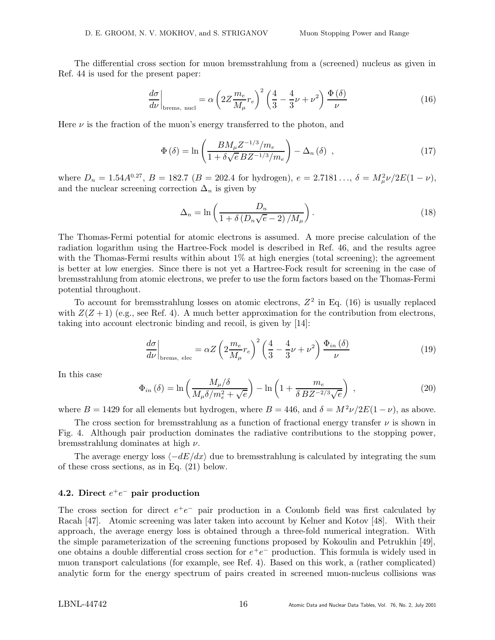The differential cross section for muon bremsstrahlung from a (screened) nucleus as given in Ref. 44 is used for the present paper:

$$
\left. \frac{d\sigma}{d\nu} \right|_{\text{brems, nucl}} = \alpha \left( 2Z \frac{m_e}{M_\mu} r_e \right)^2 \left( \frac{4}{3} - \frac{4}{3}\nu + \nu^2 \right) \frac{\Phi\left( \delta \right)}{\nu} \tag{16}
$$

Here  $\nu$  is the fraction of the muon's energy transferred to the photon, and

$$
\Phi\left(\delta\right) = \ln\left(\frac{BM_{\mu}Z^{-1/3}/m_e}{1 + \delta\sqrt{e}\,BZ^{-1/3}/m_e}\right) - \Delta_n\left(\delta\right) \;, \tag{17}
$$

where  $D_n = 1.54A^{0.27}$ ,  $B = 182.7$  ( $B = 202.4$  for hydrogen),  $e = 2.7181..., \delta = M_{\mu}^2 \nu / 2E(1 - \nu)$ , and the nuclear screening correction  $\Delta_n$  is given by

$$
\Delta_n = \ln\left(\frac{D_n}{1 + \delta\left(D_n\sqrt{e} - 2\right)/M_\mu}\right). \tag{18}
$$

The Thomas-Fermi potential for atomic electrons is assumed. A more precise calculation of the radiation logarithm using the Hartree-Fock model is described in Ref. 46, and the results agree with the Thomas-Fermi results within about  $1\%$  at high energies (total screening); the agreement is better at low energies. Since there is not yet a Hartree-Fock result for screening in the case of bremsstrahlung from atomic electrons, we prefer to use the form factors based on the Thomas-Fermi potential throughout.

To account for bremsstrahlung losses on atomic electrons,  $Z^2$  in Eq. (16) is usually replaced with  $Z(Z + 1)$  (e.g., see Ref. 4). A much better approximation for the contribution from electrons, taking into account electronic binding and recoil, is given by [14]:

$$
\left. \frac{d\sigma}{d\nu} \right|_{\text{brems, elec}} = \alpha Z \left( 2 \frac{m_e}{M_\mu} r_e \right)^2 \left( \frac{4}{3} - \frac{4}{3}\nu + \nu^2 \right) \frac{\Phi_{in}(\delta)}{\nu} \tag{19}
$$

In this case

$$
\Phi_{in}(\delta) = \ln\left(\frac{M_{\mu}/\delta}{M_{\mu}\delta/m_e^2 + \sqrt{e}}\right) - \ln\left(1 + \frac{m_e}{\delta B Z^{-2/3}\sqrt{e}}\right) ,\qquad (20)
$$

where  $B = 1429$  for all elements but hydrogen, where  $B = 446$ , and  $\delta = M^2 \nu / 2E(1 - \nu)$ , as above.

The cross section for bremsstrahlung as a function of fractional energy transfer  $\nu$  is shown in Fig. 4. Although pair production dominates the radiative contributions to the stopping power, bremsstrahlung dominates at high  $\nu$ .

The average energy loss  $\langle -dE/dx \rangle$  due to bremsstrahlung is calculated by integrating the sum of these cross sections, as in Eq. (21) below.

# 4.2. Direct  $e^+e^-$  pair production

The cross section for direct  $e^+e^-$  pair production in a Coulomb field was first calculated by Racah [47]. Atomic screening was later taken into account by Kelner and Kotov [48]. With their approach, the average energy loss is obtained through a three-fold numerical integration. With the simple parameterization of the screening functions proposed by Kokoulin and Petrukhin [49], one obtains a double differential cross section for  $e^+e^-$  production. This formula is widely used in muon transport calculations (for example, see Ref. 4). Based on this work, a (rather complicated) analytic form for the energy spectrum of pairs created in screened muon-nucleus collisions was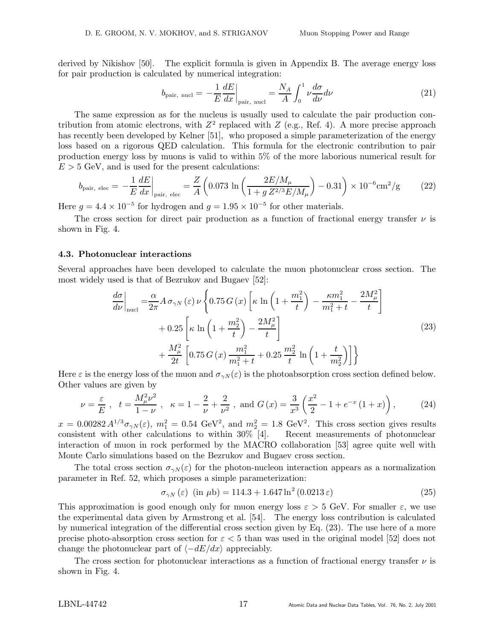derived by Nikishov [50]. The explicit formula is given in Appendix B. The average energy loss for pair production is calculated by numerical integration:

$$
b_{\text{pair, nucl}} = -\frac{1}{E} \frac{dE}{dx}\Big|_{\text{pair, nucl}} = \frac{N_A}{A} \int_0^1 \nu \frac{d\sigma}{d\nu} d\nu \tag{21}
$$

The same expression as for the nucleus is usually used to calculate the pair production contribution from atomic electrons, with  $Z^2$  replaced with  $Z$  (e.g., Ref. 4). A more precise approach has recently been developed by Kelner [51], who proposed a simple parameterization of the energy loss based on a rigorous QED calculation. This formula for the electronic contribution to pair production energy loss by muons is valid to within 5% of the more laborious numerical result for  $E > 5$  GeV, and is used for the present calculations:

$$
b_{\text{pair, elec}} = -\frac{1}{E} \frac{dE}{dx}\Big|_{\text{pair, elec}} = \frac{Z}{A} \left( 0.073 \, \ln \left( \frac{2E/M_{\mu}}{1 + g \, Z^{2/3} E/M_{\mu}} \right) - 0.31 \right) \times 10^{-6} \text{cm}^2/\text{g} \tag{22}
$$

Here  $g = 4.4 \times 10^{-5}$  for hydrogen and  $g = 1.95 \times 10^{-5}$  for other materials.

The cross section for direct pair production as a function of fractional energy transfer  $\nu$  is shown in Fig. 4.

### 4.3. Photonuclear interactions

Several approaches have been developed to calculate the muon photonuclear cross section. The most widely used is that of Bezrukov and Bugaev [52]:

$$
\frac{d\sigma}{d\nu}\Big|_{\text{nucle}} = \frac{\alpha}{2\pi} A \,\sigma_{\gamma N}(\varepsilon) \,\nu \left\{ 0.75 \, G \left( x \right) \left[ \kappa \, \ln \left( 1 + \frac{m_1^2}{t} \right) - \frac{\kappa m_1^2}{m_1^2 + t} - \frac{2M_\mu^2}{t} \right] \right. \\
\left. + 0.25 \left[ \kappa \, \ln \left( 1 + \frac{m_2^2}{t} \right) - \frac{2M_\mu^2}{t} \right] \right. \\
\left. + \frac{M_\mu^2}{2t} \left[ 0.75 \, G \left( x \right) \frac{m_1^2}{m_1^2 + t} + 0.25 \, \frac{m_2^2}{t} \, \ln \left( 1 + \frac{t}{m_2^2} \right) \right] \right\}
$$
\n(23)

Here  $\varepsilon$  is the energy loss of the muon and  $\sigma_{\gamma N}(\varepsilon)$  is the photoabsorption cross section defined below. Other values are given by

$$
\nu = \frac{\varepsilon}{E} \ , \quad t = \frac{M_{\mu}^{2} \nu^{2}}{1 - \nu} \ , \quad \kappa = 1 - \frac{2}{\nu} + \frac{2}{\nu^{2}} \ , \text{ and } G(x) = \frac{3}{x^{3}} \left( \frac{x^{2}}{2} - 1 + e^{-x} \left( 1 + x \right) \right), \tag{24}
$$

 $x = 0.00282 A^{1/3} \sigma_{\gamma N}(\varepsilon), m_1^2 = 0.54 \text{ GeV}^2$ , and  $m_2^2 = 1.8 \text{ GeV}^2$ . This cross section gives results consistent with other calculations to within 30% [4]. Recent measurements of photonuclear interaction of muon in rock performed by the MACRO collaboration [53] agree quite well with Monte Carlo simulations based on the Bezrukov and Bugaev cross section.

The total cross section  $\sigma_{\gamma N}(\varepsilon)$  for the photon-nucleon interaction appears as a normalization parameter in Ref. 52, which proposes a simple parameterization:

$$
\sigma_{\gamma N}(\varepsilon) \quad (\text{in } \mu\text{b}) = 114.3 + 1.647 \ln^2(0.0213 \,\varepsilon) \tag{25}
$$

This approximation is good enough only for muon energy loss  $\varepsilon > 5$  GeV. For smaller  $\varepsilon$ , we use the experimental data given by Armstrong et al. [54]. The energy loss contribution is calculated by numerical integration of the differential cross section given by Eq. (23). The use here of a more precise photo-absorption cross section for  $\varepsilon < 5$  than was used in the original model [52] does not change the photonuclear part of  $\langle -dE/dx \rangle$  appreciably.

The cross section for photonuclear interactions as a function of fractional energy transfer  $\nu$  is shown in Fig. 4.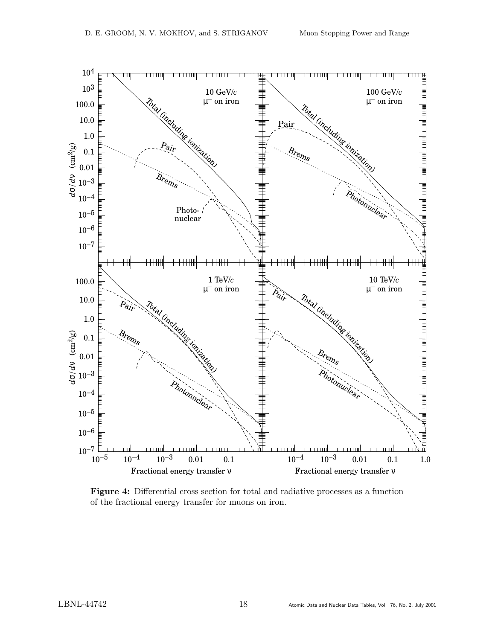

Figure 4: Differential cross section for total and radiative processes as a function of the fractional energy transfer for muons on iron.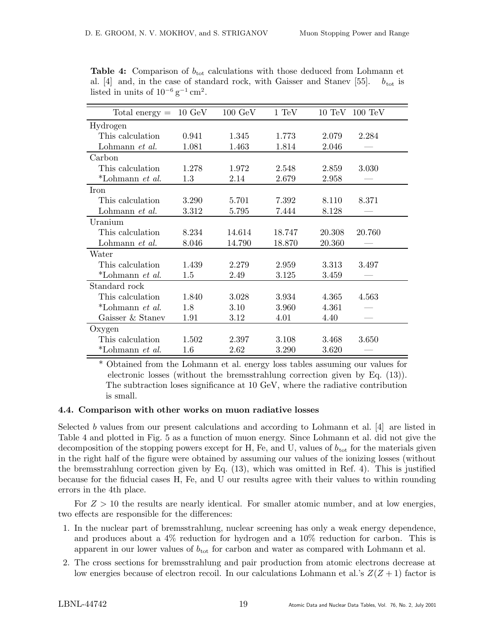| Total energy $=$       | $10 \text{ GeV}$ | $100 \text{ GeV}$ | 1 TeV  | $10 \text{ TeV}$ | $100 \text{ TeV}$ |
|------------------------|------------------|-------------------|--------|------------------|-------------------|
| Hydrogen               |                  |                   |        |                  |                   |
| This calculation       | 0.941            | 1.345             | 1.773  | 2.079            | 2.284             |
| Lohmann et al.         | 1.081            | 1.463             | 1.814  | 2.046            |                   |
| Carbon                 |                  |                   |        |                  |                   |
| This calculation       | 1.278            | 1.972             | 2.548  | 2.859            | 3.030             |
| *Lohmann et al.        | 1.3              | 2.14              | 2.679  | 2.958            |                   |
| Iron                   |                  |                   |        |                  |                   |
| This calculation       | 3.290            | 5.701             | 7.392  | 8.110            | 8.371             |
| Lohmann et al.         | 3.312            | 5.795             | 7.444  | 8.128            |                   |
| Uranium                |                  |                   |        |                  |                   |
| This calculation       | 8.234            | 14.614            | 18.747 | 20.308           | 20.760            |
| Lohmann et al.         | 8.046            | 14.790            | 18.870 | 20.360           |                   |
| Water                  |                  |                   |        |                  |                   |
| This calculation       | 1.439            | 2.279             | 2.959  | 3.313            | 3.497             |
| *Lohmann <i>et al.</i> | 1.5              | 2.49              | 3.125  | 3.459            |                   |
| Standard rock          |                  |                   |        |                  |                   |
| This calculation       | 1.840            | 3.028             | 3.934  | 4.365            | 4.563             |
| *Lohmann et al.        | 1.8              | 3.10              | 3.960  | 4.361            |                   |
| Gaisser & Staney       | 1.91             | 3.12              | 4.01   | 4.40             |                   |
| Oxygen                 |                  |                   |        |                  |                   |
| This calculation       | 1.502            | 2.397             | 3.108  | 3.468            | 3.650             |
| *Lohmann et al.        | 1.6              | 2.62              | 3.290  | 3.620            |                   |

**Table 4:** Comparison of  $b_{\text{tot}}$  calculations with those deduced from Lohmann et al. [4] and, in the case of standard rock, with Gaisser and Stanev [55].  $b_{\text{tot}}$  is listed in units of  $10^{-6}$  g<sup>-1</sup> cm<sup>2</sup>.

\* Obtained from the Lohmann et al. energy loss tables assuming our values for electronic losses (without the bremsstrahlung correction given by Eq. (13)). The subtraction loses significance at 10 GeV, where the radiative contribution is small.

#### 4.4. Comparison with other works on muon radiative losses

Selected b values from our present calculations and according to Lohmann et al. [4] are listed in Table 4 and plotted in Fig. 5 as a function of muon energy. Since Lohmann et al. did not give the decomposition of the stopping powers except for H, Fe, and U, values of  $b_{\text{tot}}$  for the materials given in the right half of the figure were obtained by assuming our values of the ionizing losses (without the bremsstrahlung correction given by Eq. (13), which was omitted in Ref. 4). This is justified because for the fiducial cases H, Fe, and U our results agree with their values to within rounding errors in the 4th place.

For  $Z > 10$  the results are nearly identical. For smaller atomic number, and at low energies, two effects are responsible for the differences:

- 1. In the nuclear part of bremsstrahlung, nuclear screening has only a weak energy dependence, and produces about a 4% reduction for hydrogen and a 10% reduction for carbon. This is apparent in our lower values of  $b_{\text{tot}}$  for carbon and water as compared with Lohmann et al.
- 2. The cross sections for bremsstrahlung and pair production from atomic electrons decrease at low energies because of electron recoil. In our calculations Lohmann et al.'s  $Z(Z + 1)$  factor is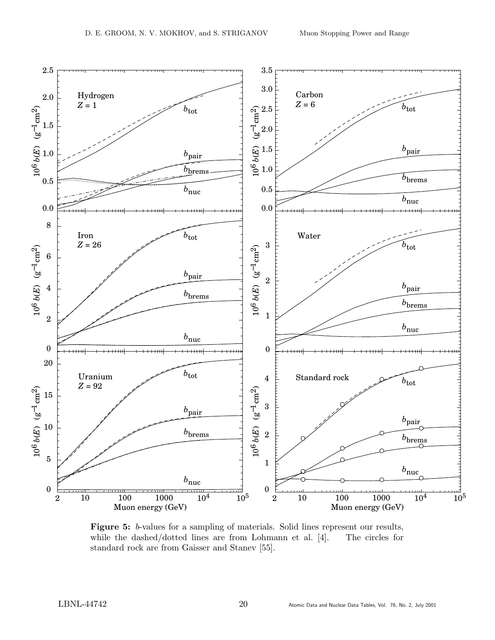

Figure 5: b-values for a sampling of materials. Solid lines represent our results, while the dashed/dotted lines are from Lohmann et al. [4]. The circles for standard rock are from Gaisser and Stanev [55].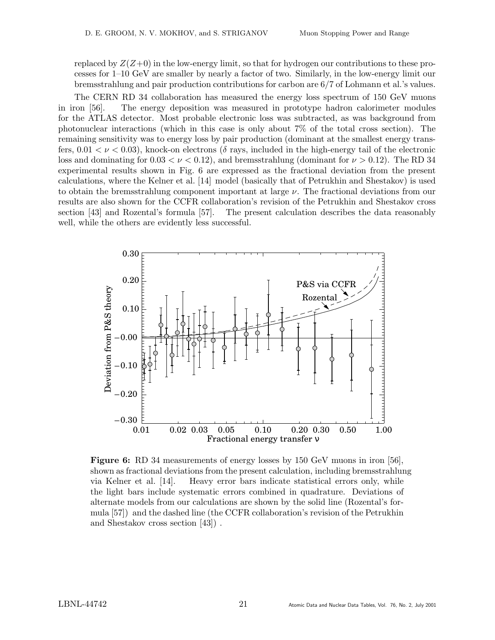replaced by  $Z(Z+0)$  in the low-energy limit, so that for hydrogen our contributions to these processes for 1–10 GeV are smaller by nearly a factor of two. Similarly, in the low-energy limit our bremsstrahlung and pair production contributions for carbon are 6/7 of Lohmann et al.'s values.

The CERN RD 34 collaboration has measured the energy loss spectrum of 150 GeV muons in iron [56]. The energy deposition was measured in prototype hadron calorimeter modules for the ATLAS detector. Most probable electronic loss was subtracted, as was background from photonuclear interactions (which in this case is only about 7% of the total cross section). The remaining sensitivity was to energy loss by pair production (dominant at the smallest energy transfers,  $0.01 < \nu < 0.03$ ), knock-on electrons (δ rays, included in the high-energy tail of the electronic loss and dominating for  $0.03 < \nu < 0.12$ ), and bremsstrahlung (dominant for  $\nu > 0.12$ ). The RD 34 experimental results shown in Fig. 6 are expressed as the fractional deviation from the present calculations, where the Kelner et al. [14] model (basically that of Petrukhin and Shestakov) is used to obtain the bremsstrahlung component important at large  $\nu$ . The fractional deviations from our results are also shown for the CCFR collaboration's revision of the Petrukhin and Shestakov cross section [43] and Rozental's formula [57]. The present calculation describes the data reasonably well, while the others are evidently less successful.



Figure 6: RD 34 measurements of energy losses by 150 GeV muons in iron [56]. shown as fractional deviations from the present calculation, including bremsstrahlung via Kelner et al. [14]. Heavy error bars indicate statistical errors only, while the light bars include systematic errors combined in quadrature. Deviations of alternate models from our calculations are shown by the solid line (Rozental's formula [57]) and the dashed line (the CCFR collaboration's revision of the Petrukhin and Shestakov cross section [43]) .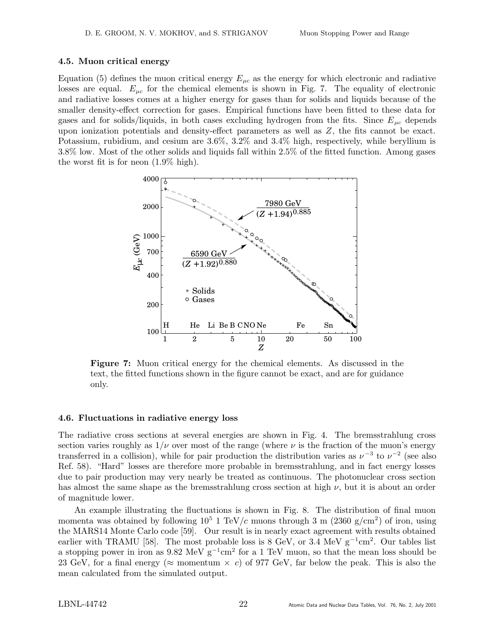### 4.5. Muon critical energy

Equation (5) defines the muon critical energy  $E_{\mu c}$  as the energy for which electronic and radiative losses are equal.  $E_{\mu c}$  for the chemical elements is shown in Fig. 7. The equality of electronic and radiative losses comes at a higher energy for gases than for solids and liquids because of the smaller density-effect correction for gases. Empirical functions have been fitted to these data for gases and for solids/liquids, in both cases excluding hydrogen from the fits. Since  $E_{uc}$  depends upon ionization potentials and density-effect parameters as well as  $Z$ , the fits cannot be exact. Potassium, rubidium, and cesium are 3.6%, 3.2% and 3.4% high, respectively, while beryllium is 3.8% low. Most of the other solids and liquids fall within 2.5% of the fitted function. Among gases the worst fit is for neon (1.9% high).



Figure 7: Muon critical energy for the chemical elements. As discussed in the text, the fitted functions shown in the figure cannot be exact, and are for guidance only.

### 4.6. Fluctuations in radiative energy loss

The radiative cross sections at several energies are shown in Fig. 4. The bremsstrahlung cross section varies roughly as  $1/\nu$  over most of the range (where  $\nu$  is the fraction of the muon's energy transferred in a collision), while for pair production the distribution varies as  $\nu^{-3}$  to  $\nu^{-2}$  (see also Ref. 58). "Hard" losses are therefore more probable in bremsstrahlung, and in fact energy losses due to pair production may very nearly be treated as continuous. The photonuclear cross section has almost the same shape as the bremsstrahlung cross section at high  $\nu$ , but it is about an order of magnitude lower.

An example illustrating the fluctuations is shown in Fig. 8. The distribution of final muon momenta was obtained by following  $10^5$  1 TeV/c muons through 3 m (2360 g/cm<sup>2</sup>) of iron, using the MARS14 Monte Carlo code [59]. Our result is in nearly exact agreement with results obtained earlier with TRAMU [58]. The most probable loss is 8 GeV, or  $3.\overline{4}$  MeV g<sup>-1</sup>cm<sup>2</sup>. Our tables list a stopping power in iron as  $9.82 \text{ MeV g}^{-1} \text{cm}^2$  for a 1 TeV muon, so that the mean loss should be 23 GeV, for a final energy ( $\approx$  momentum  $\times$  c) of 977 GeV, far below the peak. This is also the mean calculated from the simulated output.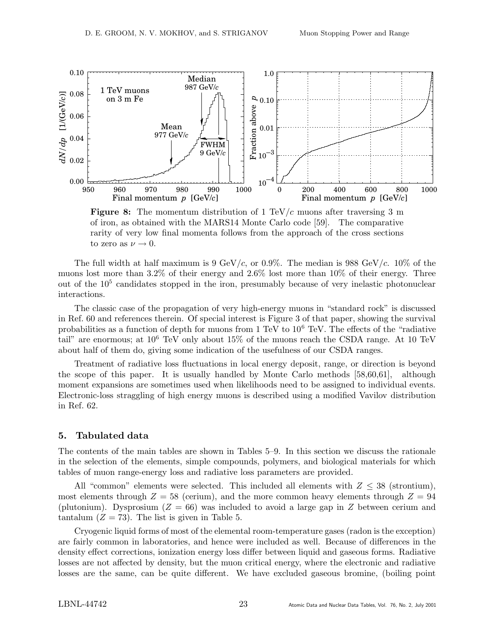

**Figure 8:** The momentum distribution of 1 TeV/c muons after traversing 3 m of iron, as obtained with the MARS14 Monte Carlo code [59]. The comparative rarity of very low final momenta follows from the approach of the cross sections to zero as  $\nu \rightarrow 0$ .

The full width at half maximum is 9 GeV/c, or 0.9%. The median is 988 GeV/c.  $10\%$  of the muons lost more than 3.2% of their energy and 2.6% lost more than 10% of their energy. Three out of the 10<sup>5</sup> candidates stopped in the iron, presumably because of very inelastic photonuclear interactions.

The classic case of the propagation of very high-energy muons in "standard rock" is discussed in Ref. 60 and references therein. Of special interest is Figure 3 of that paper, showing the survival probabilities as a function of depth for muons from  $1 \text{ TeV}$  to  $10^6 \text{ TeV}$ . The effects of the "radiative" tail" are enormous; at  $10^6$  TeV only about 15% of the muons reach the CSDA range. At 10 TeV about half of them do, giving some indication of the usefulness of our CSDA ranges.

Treatment of radiative loss fluctuations in local energy deposit, range, or direction is beyond the scope of this paper. It is usually handled by Monte Carlo methods [58,60,61], although moment expansions are sometimes used when likelihoods need to be assigned to individual events. Electronic-loss straggling of high energy muons is described using a modified Vavilov distribution in Ref. 62.

## 5. Tabulated data

The contents of the main tables are shown in Tables 5–9. In this section we discuss the rationale in the selection of the elements, simple compounds, polymers, and biological materials for which tables of muon range-energy loss and radiative loss parameters are provided.

All "common" elements were selected. This included all elements with  $Z \leq 38$  (strontium), most elements through  $Z = 58$  (cerium), and the more common heavy elements through  $Z = 94$ (plutonium). Dysprosium ( $Z = 66$ ) was included to avoid a large gap in Z between cerium and tantalum  $(Z = 73)$ . The list is given in Table 5.

Cryogenic liquid forms of most of the elemental room-temperature gases (radon is the exception) are fairly common in laboratories, and hence were included as well. Because of differences in the density effect corrections, ionization energy loss differ between liquid and gaseous forms. Radiative losses are not affected by density, but the muon critical energy, where the electronic and radiative losses are the same, can be quite different. We have excluded gaseous bromine, (boiling point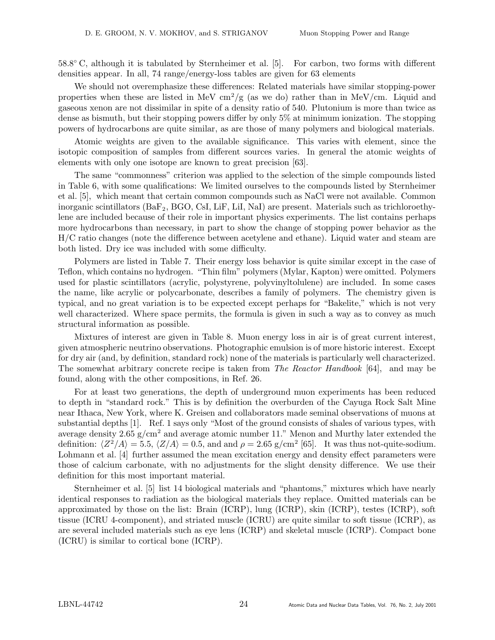58.8◦ C, although it is tabulated by Sternheimer et al. [5]. For carbon, two forms with different densities appear. In all, 74 range/energy-loss tables are given for 63 elements

We should not overemphasize these differences: Related materials have similar stopping-power properties when these are listed in MeV  $\text{cm}^2/\text{g}$  (as we do) rather than in MeV/cm. Liquid and gaseous xenon are not dissimilar in spite of a density ratio of 540. Plutonium is more than twice as dense as bismuth, but their stopping powers differ by only 5% at minimum ionization. The stopping powers of hydrocarbons are quite similar, as are those of many polymers and biological materials.

Atomic weights are given to the available significance. This varies with element, since the isotopic composition of samples from different sources varies. In general the atomic weights of elements with only one isotope are known to great precision [63].

The same "commonness" criterion was applied to the selection of the simple compounds listed in Table 6, with some qualifications: We limited ourselves to the compounds listed by Sternheimer et al. [5], which meant that certain common compounds such as NaCl were not available. Common inorganic scintillators  $(BaF_2, BGO, CsI, LiF, LiI, NaI)$  are present. Materials such as trichloroethylene are included because of their role in important physics experiments. The list contains perhaps more hydrocarbons than necessary, in part to show the change of stopping power behavior as the H/C ratio changes (note the difference between acetylene and ethane). Liquid water and steam are both listed. Dry ice was included with some difficulty.

Polymers are listed in Table 7. Their energy loss behavior is quite similar except in the case of Teflon, which contains no hydrogen. "Thin film" polymers (Mylar, Kapton) were omitted. Polymers used for plastic scintillators (acrylic, polystyrene, polyvinyltolulene) are included. In some cases the name, like acrylic or polycarbonate, describes a family of polymers. The chemistry given is typical, and no great variation is to be expected except perhaps for "Bakelite," which is not very well characterized. Where space permits, the formula is given in such a way as to convey as much structural information as possible.

Mixtures of interest are given in Table 8. Muon energy loss in air is of great current interest, given atmospheric neutrino observations. Photographic emulsion is of more historic interest. Except for dry air (and, by definition, standard rock) none of the materials is particularly well characterized. The somewhat arbitrary concrete recipe is taken from The Reactor Handbook [64], and may be found, along with the other compositions, in Ref. 26.

For at least two generations, the depth of underground muon experiments has been reduced to depth in "standard rock." This is by definition the overburden of the Cayuga Rock Salt Mine near Ithaca, New York, where K. Greisen and collaborators made seminal observations of muons at substantial depths [1]. Ref. 1 says only "Most of the ground consists of shales of various types, with average density 2.65  $g/cm<sup>2</sup>$  and average atomic number 11." Menon and Murthy later extended the definition:  $\langle Z^2/A \rangle = 5.5$ ,  $\langle Z/A \rangle = 0.5$ , and and  $\rho = 2.65$  g/cm<sup>2</sup> [65]. It was thus not-quite-sodium. Lohmann et al. [4] further assumed the mean excitation energy and density effect parameters were those of calcium carbonate, with no adjustments for the slight density difference. We use their definition for this most important material.

Sternheimer et al. [5] list 14 biological materials and "phantoms," mixtures which have nearly identical responses to radiation as the biological materials they replace. Omitted materials can be approximated by those on the list: Brain (ICRP), lung (ICRP), skin (ICRP), testes (ICRP), soft tissue (ICRU 4-component), and striated muscle (ICRU) are quite similar to soft tissue (ICRP), as are several included materials such as eye lens (ICRP) and skeletal muscle (ICRP). Compact bone (ICRU) is similar to cortical bone (ICRP).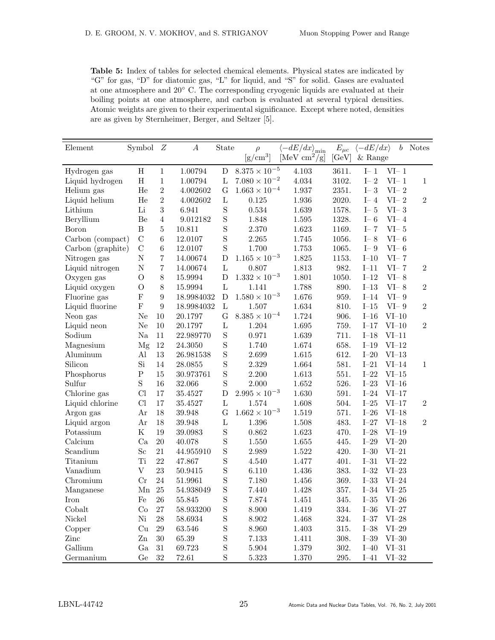Table 5: Index of tables for selected chemical elements. Physical states are indicated by "G" for gas, "D" for diatomic gas, "L" for liquid, and "S" for solid. Gases are evaluated at one atmosphere and 20◦ C. The corresponding cryogenic liquids are evaluated at their boiling points at one atmosphere, and carbon is evaluated at several typical densities. Atomic weights are given to their experimental significance. Except where noted, densities are as given by Sternheimer, Berger, and Seltzer [5].

| Element           | Symbol         | Z                | $\boldsymbol{A}$ | State          | $\rho$                 | $\bar{\langle} -dE/dx \rangle_{\rm min}$ | $E_{\mu c}$ | $\langle -dE/dx \rangle$ |                | $b$ Notes      |
|-------------------|----------------|------------------|------------------|----------------|------------------------|------------------------------------------|-------------|--------------------------|----------------|----------------|
|                   |                |                  |                  |                | $\rm [g/cm^3]$         | [MeV $\text{cm}^2/\text{g}$ ]            | [GeV]       | $&$ Range                |                |                |
| Hydrogen gas      | Η              | $\mathbf{1}$     | 1.00794          | ${\rm D}$      | $8.375\times10^{-5}$   | 4.103                                    | 3611.       | $I-1$                    | $VI-1$         |                |
| Liquid hydrogen   | $\rm H$        | $\mathbf{1}$     | 1.00794          | $\mathbf{L}$   | $7.080\times10^{-2}$   | 4.034                                    | 3102.       | $I - 2$                  | $VI-1$         | $\mathbf{1}$   |
| Helium gas        | He             | $\overline{2}$   | 4.002602         | G              | $1.663 \times 10^{-4}$ | 1.937                                    | 2351.       | $I - 3$                  | $VI-2$         |                |
| Liquid helium     | He             | $\sqrt{2}$       | 4.002602         | $\mathbf{L}$   | $0.125\,$              | 1.936                                    | 2020.       | $I - 4$                  | $\mbox{VI-2}$  | $\,2$          |
| Lithium           | Li             | $\overline{3}$   | 6.941            | $\mathbf S$    | 0.534                  | 1.639                                    | 1578.       | $I-5$                    | $\rm VI\!-\,3$ |                |
| Beryllium         | Be             | $\overline{4}$   | 9.012182         | $\mathbf S$    | 1.848                  | $1.595\,$                                | 1328.       | $I - 6$                  | $VI-4$         |                |
| <b>Boron</b>      | $\, {\bf B}$   | $\bf 5$          | 10.811           | $\rm S$        | 2.370                  | 1.623                                    | 1169.       | $I-7$                    | $VI-5$         |                |
| Carbon (compact)  | $\mathcal{C}$  | $\,6$            | 12.0107          | $\mathbf S$    | $2.265\,$              | 1.745                                    | 1056.       | $I - 8$                  | $VI-6$         |                |
| Carbon (graphite) | $\mathcal{C}$  | $\,6$            | $12.0107\,$      | $\mathbf S$    | 1.700                  | 1.753                                    | 1065.       | $I - 9$                  | $VI-6$         |                |
| Nitrogen gas      | $\overline{N}$ | $\overline{7}$   | 14.00674         | $\mathbf D$    | $1.165\times10^{-3}$   | 1.825                                    | 1153.       | $I-10$                   | $VI-7$         |                |
| Liquid nitrogen   | $\overline{N}$ | $\,7$            | 14.00674         | $\mathbf{L}$   | 0.807                  | 1.813                                    | 982.        | $I-11$                   | $VI-7$         | $\sqrt{2}$     |
| Oxygen gas        | $\overline{O}$ | $8\,$            | 15.9994          | D              | $1.332 \times 10^{-3}$ | 1.801                                    | 1050.       | $I-12$                   | $VI-8$         |                |
| Liquid oxygen     | $\overline{O}$ | $8\,$            | 15.9994          | $\mathbf{L}$   | 1.141                  | 1.788                                    | 890.        | $I-13$                   | $VI-8$         | $\sqrt{2}$     |
| Fluorine gas      | $\overline{F}$ | $9\phantom{.}$   | 18.9984032       | ${\bf D}$      | $1.580\times10^{-3}$   | 1.676                                    | 959.        | $I-14$                   | $VI-9$         |                |
| Liquid fluorine   | $\overline{F}$ | $\boldsymbol{9}$ | 18.9984032       | $\mathbf L$    | 1.507                  | 1.634                                    | 810.        | $I-15$                   | $VI-9$         | $\sqrt{2}$     |
| Neon gas          | Ne             | $10\,$           | 20.1797          | G              | $8.385\times10^{-4}$   | 1.724                                    | 906.        | $I-16$                   | $VI-10$        |                |
| Liquid neon       | Ne             | $10\,$           | 20.1797          | $\mathbf L$    | 1.204                  | 1.695                                    | 759.        | $I-17$                   | $VI-10$        | $\overline{2}$ |
| Sodium            | $\rm Na$       | 11               | 22.989770        | $\mathbf S$    | 0.971                  | 1.639                                    | 711.        | $I-18$                   | $VI-11$        |                |
| Magnesium         | Mg             | $12\,$           | 24.3050          | $\mathbf S$    | 1.740                  | 1.674                                    | 658.        | $I-19$                   | $VI-12$        |                |
| Aluminum          | Al             | $13\,$           | 26.981538        | $\mathbf S$    | 2.699                  | 1.615                                    | 612.        | $I-20$                   | $VI-13$        |                |
| Silicon           | Si             | 14               | 28.0855          | $\mathbf S$    | 2.329                  | 1.664                                    | 581.        | $I-21$                   | $VI-14$        | $\mathbf{1}$   |
| Phosphorus        | $\rm P$        | 15               | 30.973761        | S              | 2.200                  | 1.613                                    | 551.        | $\mbox{I}\text{--}22$    | $VI-15$        |                |
| Sulfur            | S              | 16               | 32.066           | $\mathbf S$    | 2.000                  | 1.652                                    | 526.        | $I-23$                   | $VI-16$        |                |
| Chlorine gas      | Cl             | $17\,$           | 35.4527          | $\mathbf D$    | $2.995\times10^{-3}$   | 1.630                                    | 591.        | $I-24$                   | $VI-17$        |                |
| Liquid chlorine   | Cl             | 17               | 35.4527          | $\mathbf{L}$   | 1.574                  | 1.608                                    | 504.        | $I-25$                   | $VI-17$        | $\sqrt{2}$     |
| Argon gas         | Ar             | $18\,$           | 39.948           | $\overline{G}$ | $1.662 \times 10^{-3}$ | 1.519                                    | 571.        | $I-26$                   | $VI-18$        |                |
| Liquid argon      | Ar             | 18               | 39.948           | $\mathbf L$    | 1.396                  | 1.508                                    | 483.        | $I-27$                   | $VI-18$        | $\overline{2}$ |
| Potassium         | ${\bf K}$      | 19               | 39.0983          | S              | 0.862                  | 1.623                                    | 470.        | $I-28$                   | $VI-19$        |                |
| Calcium           | Ca             | $20\,$           | 40.078           | S              | 1.550                  | $1.655\,$                                | 445.        | $I\!\!-\!\!29$           | $VI-20$        |                |
| Scandium          | Sc             | 21               | 44.955910        | $\rm S$        | 2.989                  | 1.522                                    | 420.        | $I\!\!-\!\!30$           | $VI-21$        |                |
| Titanium          | Ti             | 22               | 47.867           | $\mathbf S$    | 4.540                  | 1.477                                    | 401.        | $I-31$                   | $VI-22$        |                |
| Vanadium          | $\mathbf V$    | 23               | 50.9415          | S              | 6.110                  | 1.436                                    | 383.        | $\mbox{I}\text{--}32$    | $VI-23$        |                |
| Chromium          | Cr             | 24               | 51.9961          | S              | 7.180                  | 1.456                                    | 369.        | $I-33$                   | $VI-24$        |                |
| Manganese         | Mn             | $25\,$           | 54.938049        | S              | 7.440                  | 1.428                                    | 357.        | $I\text{--}34$           | $VI-25$        |                |
| Iron              | Fe             | 26               | 55.845           | S              | 7.874                  | 1.451                                    | 345.        | $\mbox{I}\mbox{--}35$    | $VI-26$        |                |
| Cobalt            | Co             | 27               | 58.933200        | $\mathbf S$    | 8.900                  | 1.419                                    | 334.        | $I-36$                   | $VI-27$        |                |
| Nickel            | Ni             | $28\,$           | 58.6934          | S              | $8.902\,$              | 1.468                                    | 324.        | $\mbox{I}\mbox{-}37$     | $VI-28$        |                |
| Copper            | Cu             | $29\,$           | 63.546           | S              | 8.960                  | 1.403                                    | 315.        | $I-38$                   | $VI-29$        |                |
| Zinc              | $\mathbf{Z}$ n | $30\,$           | 65.39            | S              | 7.133                  | 1.411                                    | 308.        | $I-39$                   | $VI-30$        |                |
| Gallium           | Ga             | 31               | 69.723           | S              | 5.904                  | 1.379                                    | 302.        | $I-40$                   | $VI-31$        |                |
| Germanium         | Ge             | 32               | 72.61            | S              | 5.323                  | 1.370                                    | 295.        | $I-41$                   | $VI-32$        |                |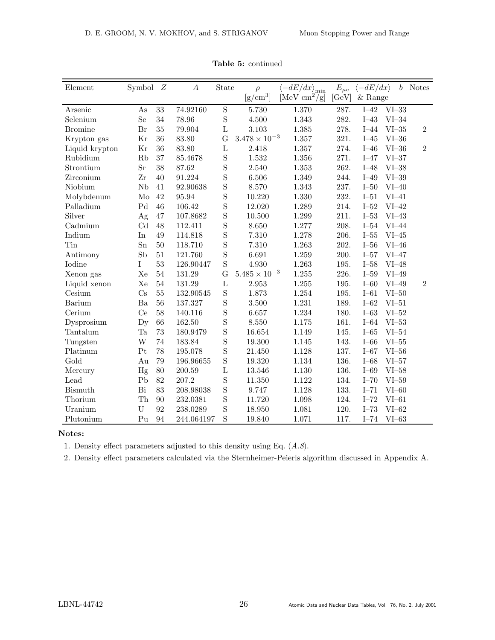| Element             | Symbol                  | Z      | $\boldsymbol{A}$ | State          | $\rho$               | $\langle -dE/dx \rangle_{\text{min}}$ | $E_{\mu c}$ | $\langle -dE/dx \rangle$ | b                   | <b>Notes</b>   |
|---------------------|-------------------------|--------|------------------|----------------|----------------------|---------------------------------------|-------------|--------------------------|---------------------|----------------|
|                     |                         |        |                  |                | $\rm [g/cm^3]$       | [MeV $\text{cm}^2/\text{g}$ ]         | [GeV]       | $&$ Range                |                     |                |
| Arsenic             | As                      | 33     | 74.92160         | $\mathbf S$    | 5.730                | 1.370                                 | 287.        | $I-42$                   | $VI-33$             |                |
| Selenium            | S <sub>e</sub>          | 34     | 78.96            | S              | 4.500                | 1.343                                 | 282.        | $I-43$                   | $VI-34$             |                |
| <b>Bromine</b>      | Br                      | 35     | 79.904           | $\Gamma$       | 3.103                | 1.385                                 | 278.        | $I-44$                   | $\rm VI\text{--}35$ | $\overline{2}$ |
| Krypton gas         | Kr                      | 36     | 83.80            | $\overline{G}$ | $3.478\times10^{-3}$ | 1.357                                 | 321.        | $I-45$                   | $VI-36$             |                |
| Liquid krypton      | Kr                      | 36     | 83.80            | $\rm L$        | 2.418                | 1.357                                 | 274.        | $I-46$                   | $VI-36$             | $\overline{2}$ |
| Rubidium            | Rb                      | 37     | 85.4678          | S              | 1.532                | 1.356                                 | 271.        | $I-47$                   | $VI-37$             |                |
| Strontium           | Sr                      | 38     | 87.62            | S              | 2.540                | 1.353                                 | 262.        | $I-48$                   | $VI-38$             |                |
| Zirconium           | Zr                      | 40     | 91.224           | S              | 6.506                | 1.349                                 | 244.        | $I-49$                   | $VI-39$             |                |
| Niobium             | <b>Nb</b>               | 41     | 92.90638         | S              | 8.570                | 1.343                                 | 237.        | $I-50$                   | $VI-40$             |                |
| Molybdenum          | Mo                      | 42     | 95.94            | S              | 10.220               | 1.330                                 | 232.        | $I-51$                   | $VI-41$             |                |
| Palladium           | P <sub>d</sub>          | 46     | 106.42           | S              | 12.020               | 1.289                                 | 214.        | $I-52$                   | $VI-42$             |                |
| Silver              | $\rm Ag$                | 47     | 107.8682         | S              | 10.500               | 1.299                                 | 211.        | $I-53$                   | $VI-43$             |                |
| $C^{\text{admium}}$ | Cd                      | 48     | 112.411          | S              | 8.650                | 1.277                                 | 208.        | $I-54$                   | $VI-44$             |                |
| Indium              | In                      | 49     | 114.818          | $\mathbf S$    | 7.310                | 1.278                                 | 206.        | $I-55$                   | $VI-45$             |                |
| Tin                 | $S_{n}$                 | 50     | 118.710          | S              | 7.310                | 1.263                                 | 202.        | $I-56$                   | $VI-46$             |                |
| Antimony            | Sb                      | $51\,$ | 121.760          | S              | 6.691                | 1.259                                 | 200.        | $I-57$                   | $VI-47$             |                |
| Iodine              | I                       | 53     | 126.90447        | S              | 4.930                | 1.263                                 | 195.        | $I-58$                   | $VI-48$             |                |
| Xenon gas           | Xe                      | 54     | 131.29           | $\overline{G}$ | $5.485\times10^{-3}$ | 1.255                                 | 226.        | $I-59$                   | $VI-49$             |                |
| Liquid xenon        | Xe                      | 54     | 131.29           | $\rm L$        | 2.953                | 1.255                                 | 195.        | $I$ -60                  | $VI-49$             | $\overline{2}$ |
| Cesium              | $\mathrm{Cs}$           | 55     | 132.90545        | S              | 1.873                | 1.254                                 | 195.        | $I-61$                   | $VI-50$             |                |
| Barium              | Ba                      | 56     | 137.327          | S              | 3.500                | 1.231                                 | 189.        | $I-62$                   | $VI-51$             |                |
| Cerium              | Ce                      | 58     | 140.116          | S              | 6.657                | 1.234                                 | 180.        | $I-63$                   | $VI-52$             |                |
| Dysprosium          | $\mathbf{D} \mathbf{y}$ | 66     | 162.50           | S              | 8.550                | 1.175                                 | 161.        | $I-64$                   | $VI-53$             |                |
| Tantalum            | Ta                      | 73     | 180.9479         | S              | 16.654               | 1.149                                 | 145.        | $I-65$                   | $VI-54$             |                |
| Tungsten            | W                       | 74     | 183.84           | S              | 19.300               | 1.145                                 | 143.        | $I-66$                   | $VI-55$             |                |
| Platinum            | Pt                      | 78     | 195.078          | S              | 21.450               | 1.128                                 | 137.        | $I-67$                   | $VI-56$             |                |
| Gold                | Au                      | 79     | 196.96655        | S              | 19.320               | 1.134                                 | 136.        | $I-68$                   | $VI-57$             |                |
| Mercury             | Hg                      | 80     | 200.59           | $\rm L$        | 13.546               | 1.130                                 | 136.        | $I-69$                   | $VI-58$             |                |
| Lead                | P <sub>b</sub>          | 82     | 207.2            | S              | 11.350               | 1.122                                 | 134.        | $I-70$                   | $VI-59$             |                |
| <b>Bismuth</b>      | Bi                      | 83     | 208.98038        | S              | 9.747                | 1.128                                 | 133.        | $I-71$                   | $VI$ -60            |                |
| Thorium             | Th                      | 90     | 232.0381         | S              | 11.720               | 1.098                                 | 124.        | $I-72$                   | $VI-61$             |                |
| Uranium             | U                       | 92     | 238.0289         | S              | 18.950               | 1.081                                 | 120.        | $I-73$                   | $VI-62$             |                |
| Plutonium           | Pu                      | 94     | 244.064197       | S              | 19.840               | 1.071                                 | 117.        | $I-74$                   | $VI-63$             |                |

Table 5: continued

### Notes:

1. Density effect parameters adjusted to this density using Eq.  $(A.8)$ .

2. Density effect parameters calculated via the Sternheimer-Peierls algorithm discussed in Appendix A.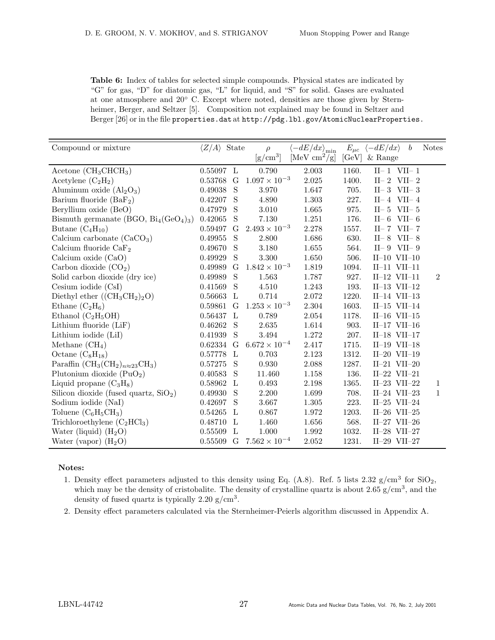Table 6: Index of tables for selected simple compounds. Physical states are indicated by "G" for gas, "D" for diatomic gas, "L" for liquid, and "S" for solid. Gases are evaluated at one atmosphere and 20◦ C. Except where noted, densities are those given by Sternheimer, Berger, and Seltzer [5]. Composition not explained may be found in Seltzer and Berger [26] or in the file properties.dat at http://pdg.lbl.gov/AtomicNuclearProperties.

| Compound or mixture                                                             | $\langle Z/A \rangle$ | State        | $\rho$                 | $-dE/dx\rangle_{\rm min}$     | $E_{\mu c}$  | $\langle -dE/dx \rangle$<br>$\boldsymbol{b}$ | <b>Notes</b>   |
|---------------------------------------------------------------------------------|-----------------------|--------------|------------------------|-------------------------------|--------------|----------------------------------------------|----------------|
|                                                                                 |                       |              | $\rm [g/cm^3]$         | [MeV $\text{cm}^2/\text{g}$ ] | [GeV]        | $&$ Range                                    |                |
| Acetone $(CH_3CHCH_3)$                                                          | $0.55097$ L           |              | 0.790                  | 2.003                         | 1160.        | $II-1$ VII-1                                 |                |
| Acetylene $(C_2H_2)$                                                            | 0.53768               | G            | $1.097 \times 10^{-3}$ | 2.025                         | 1400.        | $II-2$ VII-2                                 |                |
| Aluminum oxide $(Al_2O_3)$                                                      | 0.49038               | S            | 3.970                  | 1.647                         | 705.         | $II-3$ VII-3                                 |                |
| Barium fluoride $(BaF2)$                                                        | 0.42207               | S            | 4.890                  | 1.303                         | 227.         | $II-4$ VII-4                                 |                |
| Beryllium oxide (BeO)                                                           | 0.47979               | S            | $3.010\,$              | 1.665                         | 975.         | $II-5$<br>VII $-5$                           |                |
| Bismuth germanate (BGO, $Bi_4(GeO_4)_3$ )                                       | 0.42065               | S            | 7.130                  | 1.251                         | 176.         | $II-6$ VII-6                                 |                |
| Butane $(C_4H_{10})$                                                            | 0.59497               | G            | $2.493 \times 10^{-3}$ | 2.278                         | 1557.        | $II-7$ VII-7                                 |                |
| Calcium carbonate $(CaCO3)$                                                     | 0.49955               | S            | 2.800                  | 1.686                         | 630.         | $II-8$<br>VII $-8$                           |                |
| Calcium fluoride $CaF2$                                                         | 0.49670               | S            | 3.180                  | 1.655                         | 564.         | $II-9$ VII-9                                 |                |
| Calcium oxide (CaO)                                                             | 0.49929               | S            | 3.300                  | 1.650                         | 506.         | $II-10$ $VII-10$                             |                |
| Carbon dioxide $(CO2)$                                                          | 0.49989               | G            | $1.842 \times 10^{-3}$ | 1.819                         | 1094.        | $II-11$ $VII-11$                             |                |
| Solid carbon dioxide (dry ice)                                                  | 0.49989               | S            | 1.563                  | 1.787                         | 927.         | $II-12$ VII-11                               | $\overline{2}$ |
| Cesium iodide (CsI)                                                             | 0.41569               | S            | 4.510                  | 1.243                         | 193.         | $II-13$ VII-12                               |                |
| Diethyl ether $((CH_3CH_2)_2O)$                                                 | 0.56663               | L            | 0.714                  | 2.072                         | 1220.        | $II-14$ VII-13                               |                |
| Ethane $(C_2H_6)$                                                               | 0.59861               | $\mathcal G$ | $1.253 \times 10^{-3}$ | 2.304                         | 1603.        | II $-15$ VII $-14$                           |                |
| Ethanol $(C_2H_5OH)$                                                            | 0.56437               | $\mathbf{L}$ | 0.789                  | 2.054                         | 1178.        | $II-16$ VII-15                               |                |
| Lithium fluoride (LiF)                                                          | 0.46262               | S            | 2.635                  | 1.614                         | 903.         | II-17 VII-16                                 |                |
| Lithium iodide (LiI)                                                            | 0.41939               | S            | 3.494                  | 1.272                         | 207.         | $II-18$ VII-17                               |                |
| Methane $(CH_4)$                                                                | 0.62334               | $\mathcal G$ | $6.672 \times 10^{-4}$ | 2.417                         | 1715.        | $II-19$ VII $-18$                            |                |
| Octane $(C_8H_{18})$                                                            | 0.57778               | $\mathbf{L}$ | 0.703                  | 2.123                         | 1312.        | $II-20$ VII $-19$                            |                |
| Paraffin (CH <sub>3</sub> (CH <sub>2</sub> ) $_{n\approx 23}$ CH <sub>3</sub> ) | 0.57275               | S            | 0.930                  | 2.088                         | 1287.        | $II-21$ $VII-20$                             |                |
| Plutonium dioxide $(PuO2)$                                                      | 0.40583               | S            | 11.460                 | 1.158                         | 136.         | $II-22$ $VII-21$                             |                |
| Liquid propane $(C_3H_8)$                                                       | 0.58962               | $\mathbf{L}$ | 0.493                  | 2.198                         | 1365.        | $II-23$ VII $-22$                            | 1              |
| Silicon dioxide (fused quartz, $SiO2$ )                                         | 0.49930               | S            | 2.200                  | 1.699                         | 708.         | II $-24$ VII $-23$                           | $\mathbf{1}$   |
| Sodium iodide (NaI)                                                             | 0.42697               | S            | 3.667                  | 1.305                         | 223.         | $II-25$ VII $-24$                            |                |
| Toluene $(C_6H_5CH_3)$                                                          | 0.54265               | L            | 0.867                  | 1.972                         | $1203.$ $\,$ | II $-26$ VII $-25$                           |                |
| Trichloroethylene $(C_2HCl_3)$                                                  | 0.48710               | L            | 1.460                  | 1.656                         | 568.         | II $-27$ VII $-26$                           |                |
| Water (liquid) $(H_2O)$                                                         | 0.55509               | L            | 1.000                  | 1.992                         | 1032.        | II $-28$ VII $-27$                           |                |
| Water (vapor) $(H_2O)$                                                          | 0.55509               | G            | $7.562 \times 10^{-4}$ | 2.052                         | 1231.        | $II-29$ VII $-27$                            |                |

## Notes:

- 1. Density effect parameters adjusted to this density using Eq.  $(A.8)$ . Ref. 5 lists 2.32 g/cm<sup>3</sup> for SiO<sub>2</sub>, which may be the density of cristobalite. The density of crystalline quartz is about  $2.65 \text{ g/cm}^3$ , and the density of fused quartz is typically  $2.20 \text{ g/cm}^3$ .
- 2. Density effect parameters calculated via the Sternheimer-Peierls algorithm discussed in Appendix A.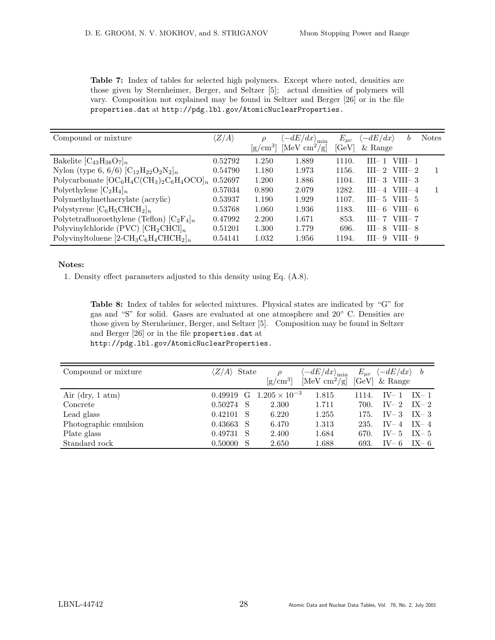| <b>Table 7:</b> Index of tables for selected high polymers. Except where noted, densities are |
|-----------------------------------------------------------------------------------------------|
| those given by Sternheimer, Berger, and Seltzer [5]; actual densities of polymers will        |
| vary. Composition not explained may be found in Seltzer and Berger [26] or in the file        |
| properties.dat at http://pdg.lbl.gov/AtomicNuclearProperties.                                 |

| Compound or mixture                                                                                | $\langle Z/A \rangle$ | $\rm [g/cm^3]$ | $\langle -dE/dx \rangle_{\rm min}$<br>[MeV cm <sup>2</sup> /g] | $E_{\mu c}$<br>[GeV] | $\langle -dE/dx \rangle$<br>b<br>$&$ Range | <b>Notes</b> |
|----------------------------------------------------------------------------------------------------|-----------------------|----------------|----------------------------------------------------------------|----------------------|--------------------------------------------|--------------|
| Bakelite $[C_{43}H_{38}O_7]_n$                                                                     | 0.52792               | 1.250          | 1.889                                                          | 1110.                | $VIII-1$<br>$III - 1$                      |              |
| Nylon (type 6, 6/6) $[C_{12}H_{22}O_2N_2]_n$                                                       | 0.54790               | 1.180          | 1.973                                                          | 1156.                | $III - 2$<br>VIII $-2$                     |              |
| Polycarbonate $[OC_6H_4C(CH_3)_2C_6H_4OCO]_n$                                                      | 0.52697               | 1.200          | 1.886                                                          | 1104.                | $III-3$ VIII $-3$                          |              |
| Polyethylene $[C_2H_4]_n$                                                                          | 0.57034               | 0.890          | 2.079                                                          | 1282.                | $III-4$ VIII $-4$                          |              |
| Polymethylmethacrylate (acrylic)                                                                   | 0.53937               | 1.190          | 1.929                                                          | 1107.                | $III-5$ VIII $-5$                          |              |
| Polystyrene $[C_6H_5CHCH_2]_n$                                                                     | 0.53768               | 1.060          | 1.936                                                          | 1183.                | VIII $-6$<br>$III-6$                       |              |
| Polytetrafluoroethylene (Teflon) $[C_2F_4]_n$                                                      | 0.47992               | 2.200          | 1.671                                                          | 853.                 | VIII $-7$<br>$III - 7$                     |              |
| Polyvinylchloride (PVC) $\text{[CH}_2\text{CHCl}]_n$                                               | 0.51201               | 1.300          | 1.779                                                          | 696.                 | $III - 8$<br>VIII $-8$                     |              |
| Polyvinyltoluene [2-CH <sub>3</sub> C <sub>6</sub> H <sub>4</sub> CHCH <sub>2</sub> ] <sub>n</sub> | 0.54141               | 1.032          | 1.956                                                          | 1194.                | $III-9$<br>$VIII - 9$                      |              |

## Notes:

1. Density effect parameters adjusted to this density using Eq. (A.8).

Table 8: Index of tables for selected mixtures. Physical states are indicated by "G" for gas and "S" for solid. Gases are evaluated at one atmosphere and 20◦ C. Densities are those given by Sternheimer, Berger, and Seltzer [5]. Composition may be found in Seltzer and Berger [26] or in the file properties.dat at http://pdg.lbl.gov/AtomicNuclearProperties.

| Compound or mixture         | $\langle Z/A \rangle$ State |   | $\Omega$<br>$\rm[g/cm^3]$        | $\langle -dE/dx \rangle_{\rm min}$<br>[MeV cm <sup>2</sup> /g] [GeV] & Range |       | $E_{\mu c}$ $\langle -dE/dx \rangle$ b |          |
|-----------------------------|-----------------------------|---|----------------------------------|------------------------------------------------------------------------------|-------|----------------------------------------|----------|
| Air (dry, $1 \text{ atm}$ ) |                             |   | 0.49919 G $1.205 \times 10^{-3}$ | 1.815                                                                        | 1114. | $IV-1$                                 | $IX-1$   |
| Concrete                    | 0.50274                     | S | 2.300                            | 1.711                                                                        | 700.  | $IV-2$                                 | $IX-2$   |
| Lead glass                  | 0.42101                     | S | 6.220                            | 1.255                                                                        | 175.  | $IV-3$                                 | $IX - 3$ |
| Photographic emulsion       | 0.43663                     |   | 6.470                            | 1.313                                                                        | 235.  | $IV-4$                                 | $IX - 4$ |
| Plate glass                 | 0.49731                     | S | 2.400                            | 1.684                                                                        | 670.  | $IV-5$                                 | $IX - 5$ |
| Standard rock               | 0.50000                     |   | 2.650                            | 1.688                                                                        | 693.  | $IV-6$                                 | $IX - 6$ |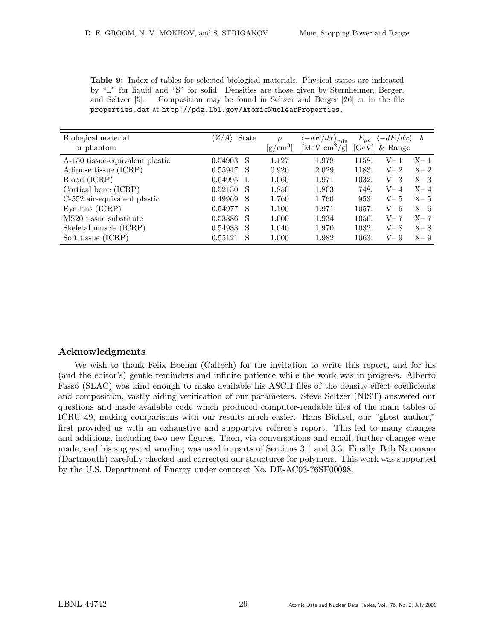| Biological material                | State<br>$A^{\prime}$ | ρ              | $\langle -dE/dx \rangle_{\rm min}$ | $E_{\mu c}$ | $-dE/dx$  | b       |
|------------------------------------|-----------------------|----------------|------------------------------------|-------------|-----------|---------|
| or phantom                         |                       | $\rm [g/cm^3]$ | [MeV $\text{cm}^2/\text{g}$ ]      | [GeV]       | $&$ Range |         |
| A-150 tissue-equivalent plastic    | 0.54903<br>S          | 1.127          | 1.978                              | 1158.       | $V-$      | $X-1$   |
| Adipose tissue (ICRP)              | 0.55947<br>S          | 0.920          | 2.029                              | 1183.       | $V-2$     | $X-2$   |
| Blood (ICRP)                       | 0.54995<br>L          | 1.060          | 1.971                              | 1032.       | $V-3$     | $X-3$   |
| Cortical bone (ICRP)               | 0.52130<br>S          | 1.850          | 1.803                              | 748.        | $V-4$     | $X - 4$ |
| C-552 air-equivalent plastic       | 0.49969<br>S          | 1.760          | 1.760                              | 953.        | $V-5$     | $X - 5$ |
| Eye lens $(ICRP)$                  | 0.54977<br>S          | 1.100          | 1.971                              | 1057.       | $V - 6$   | $X-6$   |
| MS <sub>20</sub> tissue substitute | 0.53886<br>S          | 1.000          | 1.934                              | 1056.       | $V-7$     | $X - 7$ |
| Skeletal muscle (ICRP)             | 0.54938<br>S          | 1.040          | 1.970                              | 1032.       | $V-8$     | $X - 8$ |
| Soft tissue (ICRP)                 | 0.55121<br>S          | 1.000          | 1.982                              | 1063.       | $V-9$     | $X - 9$ |

Table 9: Index of tables for selected biological materials. Physical states are indicated by "L" for liquid and "S" for solid. Densities are those given by Sternheimer, Berger, and Seltzer [5]. Composition may be found in Seltzer and Berger [26] or in the file properties.dat at http://pdg.lbl.gov/AtomicNuclearProperties.

# Acknowledgments

We wish to thank Felix Boehm (Caltech) for the invitation to write this report, and for his (and the editor's) gentle reminders and infinite patience while the work was in progress. Alberto Fassó (SLAC) was kind enough to make available his ASCII files of the density-effect coefficients and composition, vastly aiding verification of our parameters. Steve Seltzer (NIST) answered our questions and made available code which produced computer-readable files of the main tables of ICRU 49, making comparisons with our results much easier. Hans Bichsel, our "ghost author," first provided us with an exhaustive and supportive referee's report. This led to many changes and additions, including two new figures. Then, via conversations and email, further changes were made, and his suggested wording was used in parts of Sections 3.1 and 3.3. Finally, Bob Naumann (Dartmouth) carefully checked and corrected our structures for polymers. This work was supported by the U.S. Department of Energy under contract No. DE-AC03-76SF00098.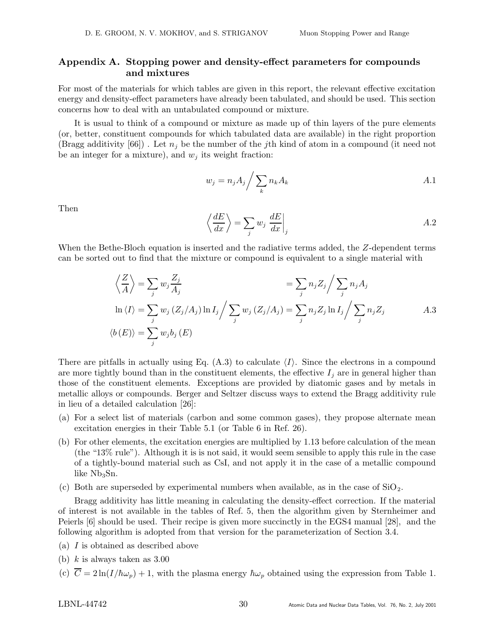# Appendix A. Stopping power and density-effect parameters for compounds and mixtures

For most of the materials for which tables are given in this report, the relevant effective excitation energy and density-effect parameters have already been tabulated, and should be used. This section concerns how to deal with an untabulated compound or mixture.

It is usual to think of a compound or mixture as made up of thin layers of the pure elements (or, better, constituent compounds for which tabulated data are available) in the right proportion (Bragg additivity [66]). Let  $n_i$  be the number of the jth kind of atom in a compound (it need not be an integer for a mixture), and  $w_j$  its weight fraction:

$$
w_j = n_j A_j / \sum_k n_k A_k \tag{A.1}
$$

Then

$$
\left\langle \frac{dE}{dx} \right\rangle = \sum_{j} w_j \left. \frac{dE}{dx} \right|_j \tag{A.2}
$$

When the Bethe-Bloch equation is inserted and the radiative terms added, the Z-dependent terms can be sorted out to find that the mixture or compound is equivalent to a single material with

$$
\left\langle \frac{Z}{A} \right\rangle = \sum_{j} w_j \frac{Z_j}{A_j} = \sum_{j} n_j Z_j \Big/ \sum_{j} n_j A_j
$$
  
\n
$$
\ln \langle I \rangle = \sum_{j} w_j (Z_j / A_j) \ln I_j \Big/ \sum_{j} w_j (Z_j / A_j) = \sum_{j} n_j Z_j \ln I_j \Big/ \sum_{j} n_j Z_j
$$
  
\n
$$
\langle b(E) \rangle = \sum_{j} w_j b_j (E)
$$

There are pitfalls in actually using Eq.  $(A.3)$  to calculate  $\langle I \rangle$ . Since the electrons in a compound are more tightly bound than in the constituent elements, the effective  $I_j$  are in general higher than those of the constituent elements. Exceptions are provided by diatomic gases and by metals in metallic alloys or compounds. Berger and Seltzer discuss ways to extend the Bragg additivity rule in lieu of a detailed calculation [26]:

- (a) For a select list of materials (carbon and some common gases), they propose alternate mean excitation energies in their Table 5.1 (or Table 6 in Ref. 26).
- (b) For other elements, the excitation energies are multiplied by 1.13 before calculation of the mean (the "13% rule"). Although it is is not said, it would seem sensible to apply this rule in the case of a tightly-bound material such as CsI, and not apply it in the case of a metallic compound like  $Nb<sub>3</sub>Sn.$
- (c) Both are superseded by experimental numbers when available, as in the case of  $SiO<sub>2</sub>$ .

Bragg additivity has little meaning in calculating the density-effect correction. If the material of interest is not available in the tables of Ref. 5, then the algorithm given by Sternheimer and Peierls [6] should be used. Their recipe is given more succinctly in the EGS4 manual [28], and the following algorithm is adopted from that version for the parameterization of Section 3.4.

- (a) I is obtained as described above
- (b)  $k$  is always taken as 3.00
- (c)  $\overline{C} = 2 \ln(I/\hbar\omega_p) + 1$ , with the plasma energy  $\hbar\omega_p$  obtained using the expression from Table 1.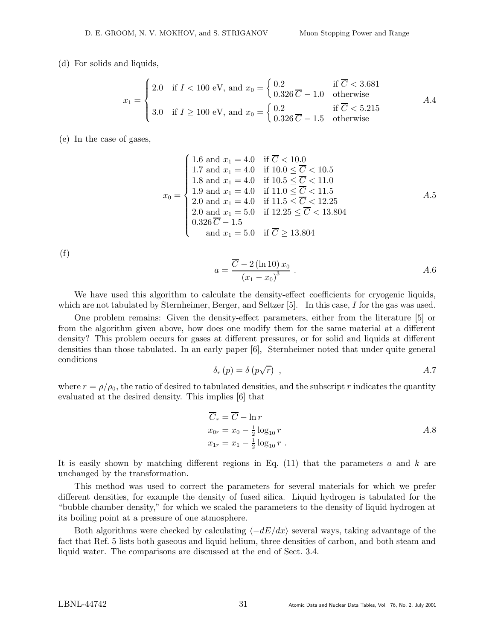### (d) For solids and liquids,

$$
x_1 = \begin{cases} 2.0 & \text{if } I < 100 \text{ eV, and } x_0 = \begin{cases} 0.2 & \text{if } \overline{C} < 3.681 \\ 0.326\,\overline{C} - 1.0 & \text{otherwise} \end{cases} \\ 3.0 & \text{if } I \ge 100 \text{ eV, and } x_0 = \begin{cases} 0.2 & \text{if } \overline{C} < 5.215 \\ 0.326\,\overline{C} - 1.5 & \text{otherwise} \end{cases} \end{cases} \tag{A.4}
$$

(e) In the case of gases,

$$
x_0 = \begin{cases} 1.6 \text{ and } x_1 = 4.0 & \text{if } \overline{C} < 10.0 \\ 1.7 \text{ and } x_1 = 4.0 & \text{if } 10.0 \le \overline{C} < 10.5 \\ 1.8 \text{ and } x_1 = 4.0 & \text{if } 10.5 \le \overline{C} < 11.0 \\ 1.9 \text{ and } x_1 = 4.0 & \text{if } 11.0 \le \overline{C} < 11.5 \\ 2.0 \text{ and } x_1 = 4.0 & \text{if } 11.5 \le \overline{C} < 12.25 \\ 2.0 \text{ and } x_1 = 5.0 & \text{if } 12.25 \le \overline{C} < 13.804 \\ 0.326\,\overline{C} - 1.5 & \text{and } x_1 = 5.0 & \text{if } \overline{C} \ge 13.804 \end{cases} \tag{A.5}
$$

(f)

$$
a = \frac{\overline{C} - 2(\ln 10) x_0}{(x_1 - x_0)^3} .
$$

We have used this algorithm to calculate the density-effect coefficients for cryogenic liquids, which are not tabulated by Sternheimer, Berger, and Seltzer [5]. In this case, I for the gas was used.

One problem remains: Given the density-effect parameters, either from the literature [5] or from the algorithm given above, how does one modify them for the same material at a different density? This problem occurs for gases at different pressures, or for solid and liquids at different densities than those tabulated. In an early paper [6], Sternheimer noted that under quite general conditions

$$
\delta_r(p) = \delta(p\sqrt{r}) \quad , \tag{A.7}
$$

where  $r = \rho/\rho_0$ , the ratio of desired to tabulated densities, and the subscript r indicates the quantity evaluated at the desired density. This implies [6] that

$$
\overline{C}_r = \overline{C} - \ln r
$$
  
\n
$$
x_{0r} = x_0 - \frac{1}{2} \log_{10} r
$$
  
\n
$$
x_{1r} = x_1 - \frac{1}{2} \log_{10} r
$$
  
\nA.8

It is easily shown by matching different regions in Eq.  $(11)$  that the parameters a and k are unchanged by the transformation.

This method was used to correct the parameters for several materials for which we prefer different densities, for example the density of fused silica. Liquid hydrogen is tabulated for the "bubble chamber density," for which we scaled the parameters to the density of liquid hydrogen at its boiling point at a pressure of one atmosphere.

Both algorithms were checked by calculating  $\langle -dE/dx \rangle$  several ways, taking advantage of the fact that Ref. 5 lists both gaseous and liquid helium, three densities of carbon, and both steam and liquid water. The comparisons are discussed at the end of Sect. 3.4.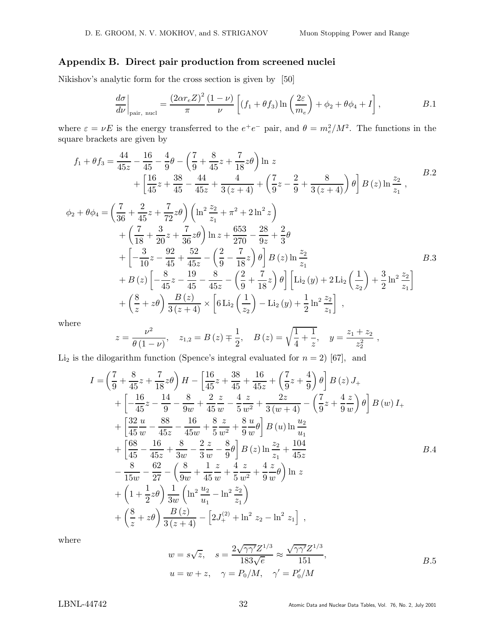## Appendix B. Direct pair production from screened nuclei

Nikishov's analytic form for the cross section is given by [50]

$$
\frac{d\sigma}{d\nu}\bigg|_{\text{pair, nucl}} = \frac{(2\alpha r_e Z)^2}{\pi} \frac{(1-\nu)}{\nu} \left[ (f_1 + \theta f_3) \ln\left(\frac{2\varepsilon}{m_e}\right) + \phi_2 + \theta \phi_4 + I \right], \qquad B.1
$$

where  $\varepsilon = \nu E$  is the energy transferred to the  $e^+e^-$  pair, and  $\theta = m_e^2/M^2$ . The functions in the square brackets are given by

$$
f_1 + \theta f_3 = \frac{44}{45z} - \frac{16}{45} - \frac{4}{9}\theta - \left(\frac{7}{9} + \frac{8}{45}z + \frac{7}{18}z\theta\right) \ln z
$$
  
+ 
$$
\left[\frac{16}{45}z + \frac{38}{45} - \frac{44}{45z} + \frac{4}{3(z+4)} + \left(\frac{7}{9}z - \frac{2}{9} + \frac{8}{3(z+4)}\right)\theta\right] B(z) \ln \frac{z_2}{z_1},
$$
  

$$
\phi_2 + \theta \phi_4 = \left(\frac{7}{36} + \frac{2}{45}z + \frac{7}{72}z\theta\right) \left(\ln^2 \frac{z_2}{z_1} + \pi^2 + 2\ln^2 z\right)
$$
  
+ 
$$
\left(\frac{7}{18} + \frac{3}{20}z + \frac{7}{36}z\theta\right) \ln z + \frac{653}{270} - \frac{28}{9z} + \frac{2}{3}\theta
$$
  
+ 
$$
\left[-\frac{3}{10}z - \frac{92}{45} + \frac{52}{45z} - \left(\frac{2}{9} - \frac{7}{18}z\right)\theta\right] B(z) \ln \frac{z_2}{z_1}
$$

$$
\begin{aligned}\n&+ B\left(z\right) \left[ -\frac{8}{45}z - \frac{19}{45} - \frac{8}{45z} - \left(\frac{2}{9} + \frac{7}{18}z\right)\theta \right] \left[ \text{Li}_2\left(y\right) + 2 \text{Li}_2\left(\frac{1}{z_2}\right) + \frac{3}{2} \ln^2 \frac{z_2}{z_1} \right] \\
&+ \left(\frac{8}{z} + z\theta\right) \frac{B\left(z\right)}{3\left(z+4\right)} \times \left[6 \text{Li}_2\left(\frac{1}{z_2}\right) - \text{Li}_2\left(y\right) + \frac{1}{2} \ln^2 \frac{z_2}{z_1} \right] \;, \n\end{aligned}
$$

where

$$
z = \frac{\nu^2}{\theta(1-\nu)}, \quad z_{1,2} = B(z) \mp \frac{1}{2}, \quad B(z) = \sqrt{\frac{1}{4} + \frac{1}{z}}, \quad y = \frac{z_1 + z_2}{z_2^2},
$$

Li<sub>2</sub> is the dilogarithm function (Spence's integral evaluated for  $n = 2$ ) [67], and

$$
I = \left(\frac{7}{9} + \frac{8}{45}z + \frac{7}{18}z\theta\right)H - \left[\frac{16}{45}z + \frac{38}{45} + \frac{16}{45z} + \left(\frac{7}{9}z + \frac{4}{9}\right)\theta\right]B(z) J_{+}
$$
  
+ 
$$
\left[-\frac{16}{45}z - \frac{14}{9} - \frac{8}{9w} + \frac{2}{45}\frac{z}{w} - \frac{4}{5}\frac{z}{w^2} + \frac{2z}{3(w+4)} - \left(\frac{7}{9}z + \frac{4}{9}\frac{z}{w}\right)\theta\right]B(w) I_{+}
$$
  
+ 
$$
\left[\frac{32}{45}\frac{u}{w} - \frac{88}{45z} - \frac{16}{45w} + \frac{8}{5}\frac{z}{w^2} + \frac{8}{9}\frac{u}{w}\theta\right]B(u) \ln \frac{u_2}{u_1}
$$
  
+ 
$$
\left[\frac{68}{45} - \frac{16}{45z} + \frac{8}{3w} - \frac{2}{3}\frac{z}{w} - \frac{8}{9}\theta\right]B(z) \ln \frac{z_2}{z_1} + \frac{104}{45z}
$$
  
- 
$$
\frac{8}{15w} - \frac{62}{27} - \left(\frac{8}{9w} + \frac{1}{45}\frac{z}{w} + \frac{4}{5}\frac{z}{w^2} + \frac{4}{9}\frac{z}{w}\theta\right) \ln z
$$
  
+ 
$$
\left(1 + \frac{1}{2}z\theta\right) \frac{1}{3w} \left(\ln^2 \frac{u_2}{u_1} - \ln^2 \frac{z_2}{z_1}\right)
$$
  
+ 
$$
\left(\frac{8}{z} + z\theta\right) \frac{B(z)}{3(z+4)} - \left[2J_+^{(2)} + \ln^2 z_2 - \ln^2 z_1\right],
$$

where

$$
w = s\sqrt{z}, \quad s = \frac{2\sqrt{\gamma\gamma'}Z^{1/3}}{183\sqrt{e}} \approx \frac{\sqrt{\gamma\gamma'}Z^{1/3}}{151},
$$
  

$$
u = w + z, \quad \gamma = P_0/M, \quad \gamma' = P'_0/M
$$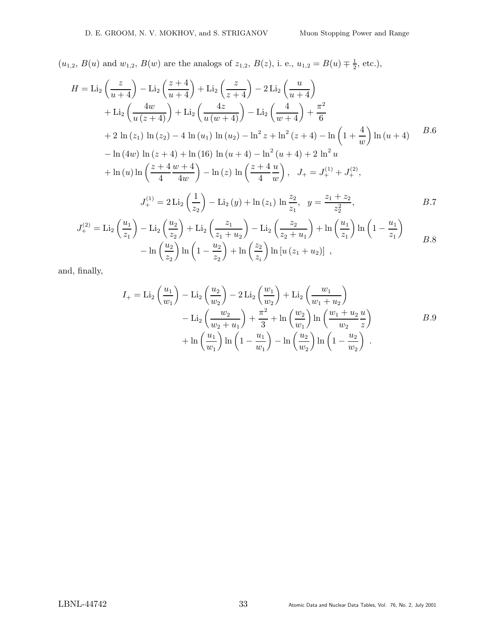$(u_{1,2}, B(u)$  and  $w_{1,2}, B(w)$  are the analogs of  $z_{1,2}, B(z)$ , i. e.,  $u_{1,2} = B(u) \neq \frac{1}{2}$  $\frac{1}{2}$ , etc.),

$$
H = \text{Li}_2\left(\frac{z}{u+4}\right) - \text{Li}_2\left(\frac{z+4}{u+4}\right) + \text{Li}_2\left(\frac{z}{z+4}\right) - 2\text{Li}_2\left(\frac{u}{u+4}\right) + \text{Li}_2\left(\frac{4w}{u(z+4)}\right) + \text{Li}_2\left(\frac{4z}{u(w+4)}\right) - \text{Li}_2\left(\frac{4}{w+4}\right) + \frac{\pi^2}{6} + 2\ln(z_1)\ln(z_2) - 4\ln(u_1)\ln(u_2) - \ln^2 z + \ln^2(z+4) - \ln\left(1+\frac{4}{w}\right)\ln(u+4) - \ln(4w)\ln(z+4) + \ln(16)\ln(u+4) - \ln^2(u+4) + 2\ln^2 u + \ln(u)\ln\left(\frac{z+4}{4}\frac{w+4}{4w}\right) - \ln(z)\ln\left(\frac{z+4}{4}\frac{u}{w}\right), \quad J_+ = J_+^{(1)} + J_+^{(2)},
$$
\n
$$
J_+^{(1)} = 2\text{Li}_2\left(\frac{1}{z_2}\right) - \text{Li}_2(y) + \ln(z_1)\ln\frac{z_2}{z_1}, \quad y = \frac{z_1+z_2}{z_2^2}, \quad B.7
$$
\n
$$
J_+^{(1)} = \frac{y_1}{z_2}, \quad (u_1) = \frac{y_2}{z_2}, \quad (u_2) = \frac{z_1}{z_2}, \quad (u_1) = \frac{z_2}{z_2}, \quad (u_2) = \frac{z_1}{z_2}, \quad (u_1) = \frac{z_2}{z_2}, \quad (u_2) = \frac{z_1}{z_2}, \quad (u_1) = \frac{z_2}{z_2}, \quad (u_2) = \frac{z_1}{z_2}, \quad (u_1) = \frac{z_2}{z_2}, \quad (u_2) = \frac{z_1}{z_2}, \quad (u_2) = \frac{z_1}{z_2}, \quad (u_1) = \frac{z_2}{z_2}, \quad (u_2) = \frac{z_1}{z_2}, \quad (u_2) = \frac{z_1}{z_2}, \quad (u_1) = \frac{z_2}{z_2}, \quad (u_1) = \frac{z_
$$

$$
J_{+}^{(2)} = \text{Li}_{2}\left(\frac{u_{1}}{z_{1}}\right) - \text{Li}_{2}\left(\frac{u_{2}}{z_{2}}\right) + \text{Li}_{2}\left(\frac{z_{1}}{z_{1} + u_{2}}\right) - \text{Li}_{2}\left(\frac{z_{2}}{z_{2} + u_{1}}\right) + \ln\left(\frac{u_{1}}{z_{1}}\right)\ln\left(1 - \frac{u_{1}}{z_{1}}\right) - \ln\left(\frac{u_{2}}{z_{2}}\right)\ln\left(1 - \frac{u_{2}}{z_{2}}\right) + \ln\left(\frac{z_{2}}{z_{i}}\right)\ln\left[u\left(z_{1} + u_{2}\right)\right],
$$
\n
$$
B.8
$$

and, finally,

$$
I_{+} = \text{Li}_{2}\left(\frac{u_{1}}{w_{1}}\right) - \text{Li}_{2}\left(\frac{u_{2}}{w_{2}}\right) - 2\text{Li}_{2}\left(\frac{w_{1}}{w_{2}}\right) + \text{Li}_{2}\left(\frac{w_{1}}{w_{1} + u_{2}}\right) - \text{Li}_{2}\left(\frac{w_{2}}{w_{2} + u_{1}}\right) + \frac{\pi^{2}}{3} + \ln\left(\frac{w_{2}}{w_{1}}\right)\ln\left(\frac{w_{1} + u_{2}}{w_{2}}\frac{u}{z}\right) + \ln\left(\frac{u_{1}}{w_{1}}\right)\ln\left(1 - \frac{u_{1}}{w_{1}}\right) - \ln\left(\frac{u_{2}}{w_{2}}\right)\ln\left(1 - \frac{u_{2}}{w_{2}}\right).
$$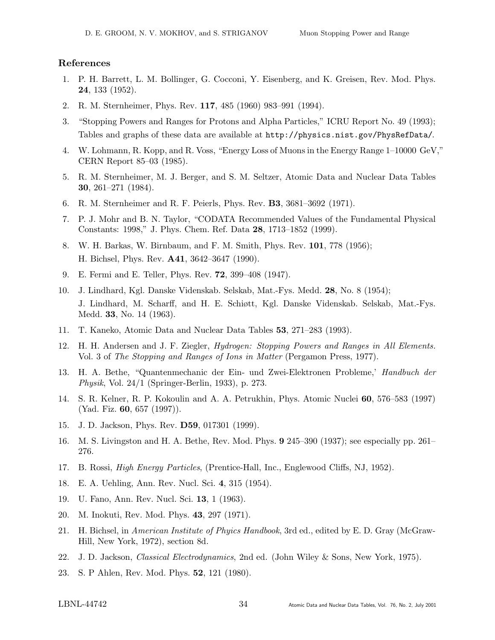## References

- 1. P. H. Barrett, L. M. Bollinger, G. Cocconi, Y. Eisenberg, and K. Greisen, Rev. Mod. Phys. 24, 133 (1952).
- 2. R. M. Sternheimer, Phys. Rev. 117, 485 (1960) 983–991 (1994).
- 3. "Stopping Powers and Ranges for Protons and Alpha Particles," ICRU Report No. 49 (1993); Tables and graphs of these data are available at http://physics.nist.gov/PhysRefData/.
- 4. W. Lohmann, R. Kopp, and R. Voss, "Energy Loss of Muons in the Energy Range 1–10000 GeV," CERN Report 85–03 (1985).
- 5. R. M. Sternheimer, M. J. Berger, and S. M. Seltzer, Atomic Data and Nuclear Data Tables 30, 261–271 (1984).
- 6. R. M. Sternheimer and R. F. Peierls, Phys. Rev. B3, 3681–3692 (1971).
- 7. P. J. Mohr and B. N. Taylor, "CODATA Recommended Values of the Fundamental Physical Constants: 1998," J. Phys. Chem. Ref. Data 28, 1713–1852 (1999).
- 8. W. H. Barkas, W. Birnbaum, and F. M. Smith, Phys. Rev. 101, 778 (1956); H. Bichsel, Phys. Rev. A41, 3642–3647 (1990).
- 9. E. Fermi and E. Teller, Phys. Rev. 72, 399–408 (1947).
- 10. J. Lindhard, Kgl. Danske Videnskab. Selskab, Mat.-Fys. Medd. 28, No. 8 (1954); J. Lindhard, M. Scharff, and H. E. Schiøtt, Kgl. Danske Videnskab. Selskab, Mat.-Fys. Medd. 33, No. 14 (1963).
- 11. T. Kaneko, Atomic Data and Nuclear Data Tables 53, 271–283 (1993).
- 12. H. H. Andersen and J. F. Ziegler, Hydrogen: Stopping Powers and Ranges in All Elements. Vol. 3 of The Stopping and Ranges of Ions in Matter (Pergamon Press, 1977).
- 13. H. A. Bethe, "Quantenmechanic der Ein- und Zwei-Elektronen Probleme,' Handbuch der Physik, Vol. 24/1 (Springer-Berlin, 1933), p. 273.
- 14. S. R. Kelner, R. P. Kokoulin and A. A. Petrukhin, Phys. Atomic Nuclei 60, 576–583 (1997) (Yad. Fiz. 60, 657 (1997)).
- 15. J. D. Jackson, Phys. Rev. D59, 017301 (1999).
- 16. M. S. Livingston and H. A. Bethe, Rev. Mod. Phys. 9 245–390 (1937); see especially pp. 261– 276.
- 17. B. Rossi, High Energy Particles, (Prentice-Hall, Inc., Englewood Cliffs, NJ, 1952).
- 18. E. A. Uehling, Ann. Rev. Nucl. Sci. 4, 315 (1954).
- 19. U. Fano, Ann. Rev. Nucl. Sci. 13, 1 (1963).
- 20. M. Inokuti, Rev. Mod. Phys. 43, 297 (1971).
- 21. H. Bichsel, in American Institute of Phyics Handbook, 3rd ed., edited by E. D. Gray (McGraw-Hill, New York, 1972), section 8d.
- 22. J. D. Jackson, Classical Electrodynamics, 2nd ed. (John Wiley & Sons, New York, 1975).
- 23. S. P Ahlen, Rev. Mod. Phys. 52, 121 (1980).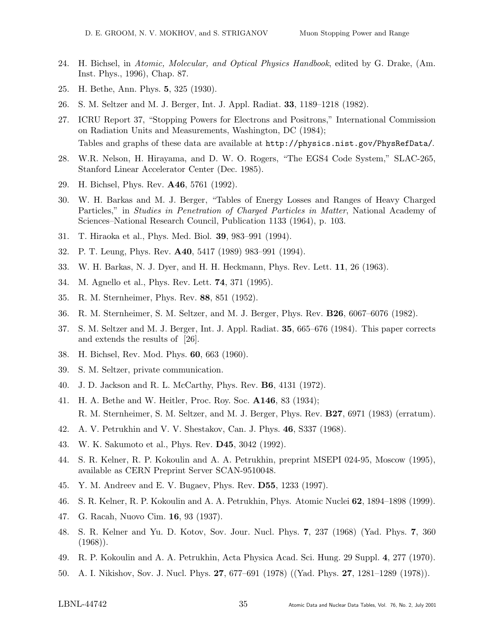- 24. H. Bichsel, in Atomic, Molecular, and Optical Physics Handbook, edited by G. Drake, (Am. Inst. Phys., 1996), Chap. 87.
- 25. H. Bethe, Ann. Phys. 5, 325 (1930).
- 26. S. M. Seltzer and M. J. Berger, Int. J. Appl. Radiat. 33, 1189–1218 (1982).
- 27. ICRU Report 37, "Stopping Powers for Electrons and Positrons," International Commission on Radiation Units and Measurements, Washington, DC (1984); Tables and graphs of these data are available at http://physics.nist.gov/PhysRefData/.
- 28. W.R. Nelson, H. Hirayama, and D. W. O. Rogers, "The EGS4 Code System," SLAC-265, Stanford Linear Accelerator Center (Dec. 1985).
- 29. H. Bichsel, Phys. Rev. A46, 5761 (1992).
- 30. W. H. Barkas and M. J. Berger, "Tables of Energy Losses and Ranges of Heavy Charged Particles," in Studies in Penetration of Charged Particles in Matter, National Academy of Sciences–National Research Council, Publication 1133 (1964), p. 103.
- 31. T. Hiraoka et al., Phys. Med. Biol. 39, 983–991 (1994).
- 32. P. T. Leung, Phys. Rev. A40, 5417 (1989) 983–991 (1994).
- 33. W. H. Barkas, N. J. Dyer, and H. H. Heckmann, Phys. Rev. Lett. 11, 26 (1963).
- 34. M. Agnello et al., Phys. Rev. Lett. 74, 371 (1995).
- 35. R. M. Sternheimer, Phys. Rev. 88, 851 (1952).
- 36. R. M. Sternheimer, S. M. Seltzer, and M. J. Berger, Phys. Rev. B26, 6067–6076 (1982).
- 37. S. M. Seltzer and M. J. Berger, Int. J. Appl. Radiat. 35, 665–676 (1984). This paper corrects and extends the results of [26].
- 38. H. Bichsel, Rev. Mod. Phys. 60, 663 (1960).
- 39. S. M. Seltzer, private communication.
- 40. J. D. Jackson and R. L. McCarthy, Phys. Rev. B6, 4131 (1972).
- 41. H. A. Bethe and W. Heitler, Proc. Roy. Soc. A146, 83 (1934); R. M. Sternheimer, S. M. Seltzer, and M. J. Berger, Phys. Rev. B27, 6971 (1983) (erratum).
- 42. A. V. Petrukhin and V. V. Shestakov, Can. J. Phys. 46, S337 (1968).
- 43. W. K. Sakumoto et al., Phys. Rev. D45, 3042 (1992).
- 44. S. R. Kelner, R. P. Kokoulin and A. A. Petrukhin, preprint MSEPI 024-95, Moscow (1995), available as CERN Preprint Server SCAN-9510048.
- 45. Y. M. Andreev and E. V. Bugaev, Phys. Rev. D55, 1233 (1997).
- 46. S. R. Kelner, R. P. Kokoulin and A. A. Petrukhin, Phys. Atomic Nuclei 62, 1894–1898 (1999).
- 47. G. Racah, Nuovo Cim. 16, 93 (1937).
- 48. S. R. Kelner and Yu. D. Kotov, Sov. Jour. Nucl. Phys. 7, 237 (1968) (Yad. Phys. 7, 360  $(1968)$ .
- 49. R. P. Kokoulin and A. A. Petrukhin, Acta Physica Acad. Sci. Hung. 29 Suppl. 4, 277 (1970).
- 50. A. I. Nikishov, Sov. J. Nucl. Phys. 27, 677–691 (1978) ((Yad. Phys. 27, 1281–1289 (1978)).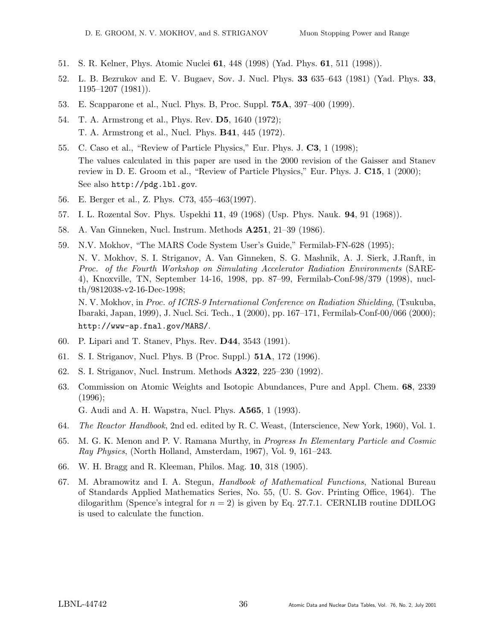- 51. S. R. Kelner, Phys. Atomic Nuclei 61, 448 (1998) (Yad. Phys. 61, 511 (1998)).
- 52. L. B. Bezrukov and E. V. Bugaev, Sov. J. Nucl. Phys. 33 635–643 (1981) (Yad. Phys. 33,  $1195-1207$   $(1981)$ ).
- 53. E. Scapparone et al., Nucl. Phys. B, Proc. Suppl. 75A, 397–400 (1999).
- 54. T. A. Armstrong et al., Phys. Rev. D5, 1640 (1972); T. A. Armstrong et al., Nucl. Phys. B41, 445 (1972).
- 55. C. Caso et al., "Review of Particle Physics," Eur. Phys. J. C3, 1 (1998); The values calculated in this paper are used in the 2000 revision of the Gaisser and Stanev review in D. E. Groom et al., "Review of Particle Physics," Eur. Phys. J. C15, 1 (2000); See also http://pdg.lbl.gov.
- 56. E. Berger et al., Z. Phys. C73, 455–463(1997).
- 57. I. L. Rozental Sov. Phys. Uspekhi 11, 49 (1968) (Usp. Phys. Nauk. 94, 91 (1968)).
- 58. A. Van Ginneken, Nucl. Instrum. Methods A251, 21–39 (1986).
- 59. N.V. Mokhov, "The MARS Code System User's Guide," Fermilab-FN-628 (1995); N. V. Mokhov, S. I. Striganov, A. Van Ginneken, S. G. Mashnik, A. J. Sierk, J.Ranft, in Proc. of the Fourth Workshop on Simulating Accelerator Radiation Environments (SARE-4), Knoxville, TN, September 14-16, 1998, pp. 87–99, Fermilab-Conf-98/379 (1998), nuclth/9812038-v2-16-Dec-1998; N. V. Mokhov, in Proc. of ICRS-9 International Conference on Radiation Shielding, (Tsukuba,
	- Ibaraki, Japan, 1999), J. Nucl. Sci. Tech., 1 (2000), pp. 167–171, Fermilab-Conf-00/066 (2000); http://www-ap.fnal.gov/MARS/.
- 60. P. Lipari and T. Stanev, Phys. Rev. D44, 3543 (1991).
- 61. S. I. Striganov, Nucl. Phys. B (Proc. Suppl.) 51A, 172 (1996).
- 62. S. I. Striganov, Nucl. Instrum. Methods A322, 225–230 (1992).
- 63. Commission on Atomic Weights and Isotopic Abundances, Pure and Appl. Chem. 68, 2339 (1996); G. Audi and A. H. Wapstra, Nucl. Phys. A565, 1 (1993).
- 64. The Reactor Handbook, 2nd ed. edited by R. C. Weast, (Interscience, New York, 1960), Vol. 1.
- 65. M. G. K. Menon and P. V. Ramana Murthy, in Progress In Elementary Particle and Cosmic Ray Physics, (North Holland, Amsterdam, 1967), Vol. 9, 161–243.
- 66. W. H. Bragg and R. Kleeman, Philos. Mag. 10, 318 (1905).
- 67. M. Abramowitz and I. A. Stegun, Handbook of Mathematical Functions, National Bureau of Standards Applied Mathematics Series, No. 55, (U. S. Gov. Printing Office, 1964). The dilogarithm (Spence's integral for  $n = 2$ ) is given by Eq. 27.7.1. CERNLIB routine DDILOG is used to calculate the function.